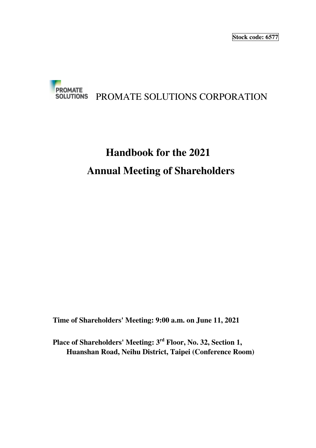

# **Handbook for the 2021 Annual Meeting of Shareholders**

**Time of Shareholders' Meeting: 9:00 a.m. on June 11, 2021** 

**Place of Shareholders' Meeting: 3rd Floor, No. 32, Section 1, Huanshan Road, Neihu District, Taipei (Conference Room)**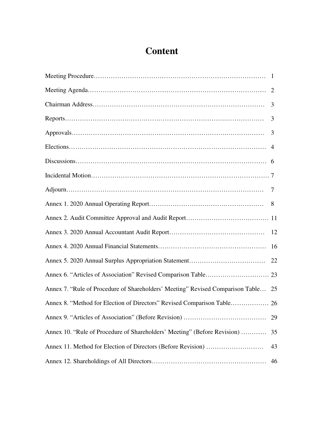# **Content**

| Annex 7. "Rule of Procedure of Shareholders' Meeting" Revised Comparison Table 25 |    |
|-----------------------------------------------------------------------------------|----|
| Annex 8. "Method for Election of Directors" Revised Comparison Table 26           |    |
|                                                                                   | 29 |
| Annex 10. "Rule of Procedure of Shareholders' Meeting" (Before Revision)          | 35 |
|                                                                                   | 43 |
|                                                                                   | 46 |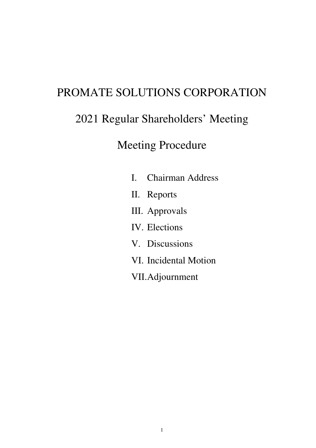# PROMATE SOLUTIONS CORPORATION

# 2021 Regular Shareholders' Meeting

# Meeting Procedure

- I. Chairman Address
- II. Reports
- III. Approvals
- IV. Elections
- V. Discussions
- VI. Incidental Motion
- VII.Adjournment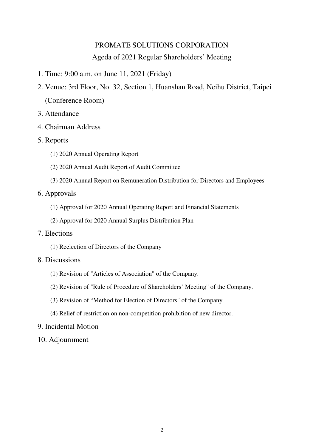# PROMATE SOLUTIONS CORPORATION Ageda of 2021 Regular Shareholders' Meeting

- 1. Time: 9:00 a.m. on June 11, 2021 (Friday)
- 2. Venue: 3rd Floor, No. 32, Section 1, Huanshan Road, Neihu District, Taipei (Conference Room)
- 3. Attendance
- 4. Chairman Address
- 5. Reports
	- (1) 2020 Annual Operating Report
	- (2) 2020 Annual Audit Report of Audit Committee
	- (3) 2020 Annual Report on Remuneration Distribution for Directors and Employees

# 6. Approvals

- (1) Approval for 2020 Annual Operating Report and Financial Statements
- (2) Approval for 2020 Annual Surplus Distribution Plan
- 7. Elections
	- (1) Reelection of Directors of the Company

# 8. Discussions

- (1) Revision of "Articles of Association" of the Company.
- (2) Revision of "Rule of Procedure of Shareholders' Meeting" of the Company.
- (3) Revision of "Method for Election of Directors" of the Company.
- (4) Relief of restriction on non-competition prohibition of new director.
- 9. Incidental Motion
- 10. Adjournment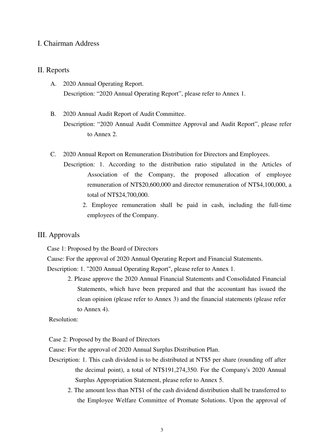# I. Chairman Address

# II. Reports

- A. 2020 Annual Operating Report. Description: "2020 Annual Operating Report", please refer to Annex 1.
- B. 2020 Annual Audit Report of Audit Committee. Description: "2020 Annual Audit Committee Approval and Audit Report", please refer to Annex 2.
- C. 2020 Annual Report on Remuneration Distribution for Directors and Employees.
	- Description: 1. According to the distribution ratio stipulated in the Articles of Association of the Company, the proposed allocation of employee remuneration of NT\$20,600,000 and director remuneration of NT\$4,100,000, a total of NT\$24,700,000.
		- 2. Employee remuneration shall be paid in cash, including the full-time employees of the Company.

# III. Approvals

Case 1: Proposed by the Board of Directors

Cause: For the approval of 2020 Annual Operating Report and Financial Statements.

Description: 1. "2020 Annual Operating Report", please refer to Annex 1.

2. Please approve the 2020 Annual Financial Statements and Consolidated Financial Statements, which have been prepared and that the accountant has issued the clean opinion (please refer to Annex 3) and the financial statements (please refer to Annex 4).

Resolution:

Case 2: Proposed by the Board of Directors

Cause: For the approval of 2020 Annual Surplus Distribution Plan.

- Description: 1. This cash dividend is to be distributed at NT\$5 per share (rounding off after the decimal point), a total of NT\$191,274,350. For the Company's 2020 Annual Surplus Appropriation Statement, please refer to Annex 5.
	- 2. The amount less than NT\$1 of the cash dividend distribution shall be transferred to the Employee Welfare Committee of Promate Solutions. Upon the approval of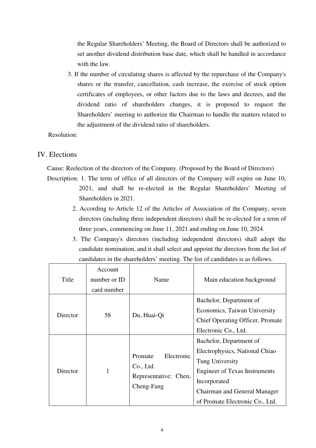the Regular Shareholders' Meeting, the Board of Directors shall be authorized to set another dividend distribution base date, which shall be handled in accordance with the law.

3. If the number of circulating shares is affected by the repurchase of the Company's shares or the transfer, cancellation, cash increase, the exercise of stock option certificates of employees, or other factors due to the laws and decrees, and the dividend ratio of shareholders changes, it is proposed to request the Shareholders' meeting to authorize the Chairman to handle the matters related to the adjustment of the dividend ratio of shareholders.

Resolution:

# IV. Elections

ŗ

Cause: Reelection of the directors of the Company. (Proposed by the Board of Directors)

- Description: 1. The term of office of all directors of the Company will expire on June 10, 2021, and shall be re-elected in the Regular Shareholders' Meeting of Shareholders in 2021.
	- 2. According to Article 12 of the Articles of Association of the Company, seven directors (including three independent directors) shall be re-elected for a term of three years, commencing on June 11, 2021 and ending on June 10, 2024.
	- 3. The Company's directors (including independent directors) shall adopt the candidate nomination, and it shall select and appoint the directors from the list of candidates in the shareholders' meeting. The list of candidates is as follows.

| Title    | Account<br>number or ID<br>card number | Name                                                                      | Main education background                                                                                                                                                                               |
|----------|----------------------------------------|---------------------------------------------------------------------------|---------------------------------------------------------------------------------------------------------------------------------------------------------------------------------------------------------|
| Director | 58<br>Du, Huai-Qi                      |                                                                           | Bachelor, Department of<br>Economics, Taiwan University<br><b>Chief Operating Officer, Promate</b><br>Electronic Co., Ltd.                                                                              |
| Director | 1                                      | Electronic<br>Promate<br>Co., Ltd.<br>Representative: Chen,<br>Cheng-Fang | Bachelor, Department of<br>Electrophysics, National Chiao<br>Tung University<br><b>Engineer of Texas Instruments</b><br>Incorporated<br>Chairman and General Manager<br>of Promate Electronic Co., Ltd. |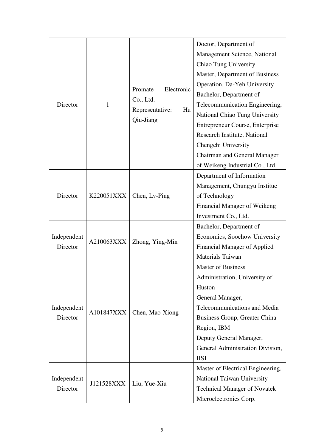| Director                | 1                             | Promate<br>Electronic<br>Co., Ltd.<br>Representative:<br>Hu<br>Qiu-Jiang | Doctor, Department of<br>Management Science, National<br>Chiao Tung University<br>Master, Department of Business<br>Operation, Da-Yeh University<br>Bachelor, Department of<br>Telecommunication Engineering,<br>National Chiao Tung University<br>Entrepreneur Course, Enterprise<br>Research Institute, National<br>Chengchi University<br>Chairman and General Manager<br>of Weikeng Industrial Co., Ltd. |
|-------------------------|-------------------------------|--------------------------------------------------------------------------|--------------------------------------------------------------------------------------------------------------------------------------------------------------------------------------------------------------------------------------------------------------------------------------------------------------------------------------------------------------------------------------------------------------|
| Director                | K220051XXX                    | Chen, Lv-Ping                                                            | Department of Information<br>Management, Chungyu Institue<br>of Technology<br>Financial Manager of Weikeng<br>Investment Co., Ltd.                                                                                                                                                                                                                                                                           |
| Independent<br>Director | A210063XXX                    | Zhong, Ying-Min                                                          | Bachelor, Department of<br>Economics, Soochow University<br>Financial Manager of Applied<br>Materials Taiwan                                                                                                                                                                                                                                                                                                 |
| Independent<br>Director | A101847XXX<br>Chen, Mao-Xiong |                                                                          | <b>Master of Business</b><br>Administration, University of<br>Huston<br>General Manager,<br>Telecommunications and Media<br>Business Group, Greater China<br>Region, IBM<br>Deputy General Manager,<br>General Administration Division,<br><b>IISI</b>                                                                                                                                                       |
| Independent<br>Director | J121528XXX                    | Liu, Yue-Xiu                                                             | Master of Electrical Engineering,<br>National Taiwan University<br><b>Technical Manager of Novatek</b><br>Microelectronics Corp.                                                                                                                                                                                                                                                                             |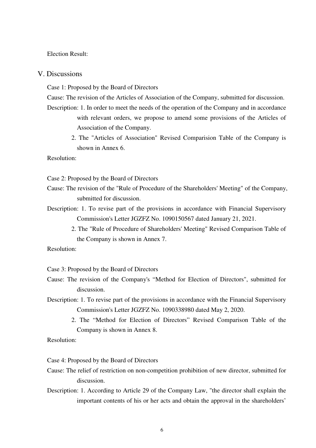### Election Result:

## V. Discussions

Case 1: Proposed by the Board of Directors

Cause: The revision of the Articles of Association of the Company, submitted for discussion.

- Description: 1. In order to meet the needs of the operation of the Company and in accordance with relevant orders, we propose to amend some provisions of the Articles of Association of the Company.
	- 2. The "Articles of Association" Revised Comparision Table of the Company is shown in Annex 6.

Resolution:

Case 2: Proposed by the Board of Directors

- Cause: The revision of the "Rule of Procedure of the Shareholders' Meeting" of the Company, submitted for discussion.
- Description: 1. To revise part of the provisions in accordance with Financial Supervisory Commission's Letter JGZFZ No. 1090150567 dated January 21, 2021.
	- 2. The "Rule of Procedure of Shareholders' Meeting" Revised Comparison Table of the Company is shown in Annex 7.

Resolution:

Case 3: Proposed by the Board of Directors

- Cause: The revision of the Company's "Method for Election of Directors", submitted for discussion.
- Description: 1. To revise part of the provisions in accordance with the Financial Supervisory Commission's Letter JGZFZ No. 1090338980 dated May 2, 2020.
	- 2. The "Method for Election of Directors" Revised Comparison Table of the Company is shown in Annex 8.

Resolution:

Case 4: Proposed by the Board of Directors

- Cause: The relief of restriction on non-competition prohibition of new director, submitted for discussion.
- Description: 1. According to Article 29 of the Company Law, "the director shall explain the important contents of his or her acts and obtain the approval in the shareholders'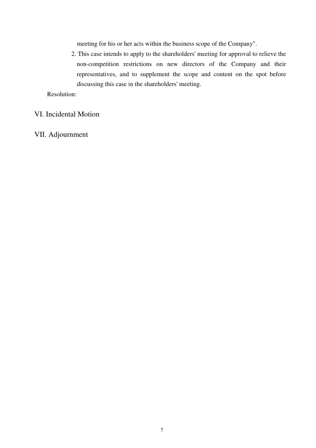meeting for his or her acts within the business scope of the Company".

2. This case intends to apply to the shareholders' meeting for approval to relieve the non-competition restrictions on new directors of the Company and their representatives, and to supplement the scope and content on the spot before discussing this case in the shareholders' meeting.

Resolution:

# VI. Incidental Motion

VII. Adjournment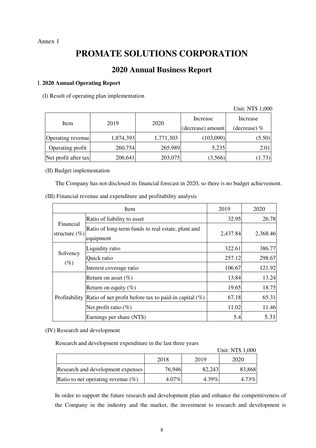# Annex 1

# **PROMATE SOLUTIONS CORPORATION**

# **2020 Annual Business Report**

# I. **2020 Annual Operating Report**

(I) Result of operating plan implementation

Unit: NT\$ 1,000

| Item                 | 2019      | 2020      | Increase<br>(decrease) amount | Increase       |  |
|----------------------|-----------|-----------|-------------------------------|----------------|--|
|                      |           |           |                               | (decrease) $%$ |  |
| Operating revenue    | 1,874,393 | 1,771,303 | (103,090)                     | (5.50)         |  |
| Operating profit     | 260,754   | 265,989   | 5,235                         | 2.01           |  |
| Net profit after tax | 206,641   | 203,075   | (3,566)                       | (1.73)         |  |

### (II) Budget implementation

The Company has not disclosed its financial forecast in 2020, so there is no budget achievement.

| (III) Financial revenue and expenditure and profitability analysis |  |  |  |
|--------------------------------------------------------------------|--|--|--|
|                                                                    |  |  |  |

|                                | Item                                                            | 2019     | 2020     |
|--------------------------------|-----------------------------------------------------------------|----------|----------|
|                                | Ratio of liability to asset                                     | 32.95    | 26.78    |
| Financial<br>structure $(\% )$ | Ratio of long-term funds to real estate, plant and<br>equipment | 2,437.84 | 2,368.46 |
|                                | Liquidity ratio                                                 | 322.61   | 386.77   |
| Solvency                       | Quick ratio                                                     | 257.12   | 298.67   |
| $(\%)$                         | Interest coverage ratio                                         | 106.67   | 121.92   |
|                                | Return on asset $(\%)$                                          | 13.84    | 13.24    |
|                                | Return on equity $(\%)$                                         | 19.65    | 18.75    |
| Profitability                  | Ratio of net profit before tax to paid-in capital $(\%)$        | 67.18    | 65.31    |
|                                | Net profit ratio $(\%)$                                         | 11.02    | 11.46    |
|                                | Earnings per share (NT\$)                                       | 5.4      | 5.31     |

### (IV) Research and development

Research and development expenditure in the last three years

|                                       |          |          | Unit: NT\$ 1,000 |
|---------------------------------------|----------|----------|------------------|
|                                       | 2018     | 2019     | 2020             |
| Research and development expenses     | 76.946   | 82,243   | 83,868           |
| Ratio to net operating revenue $(\%)$ | $4.07\%$ | $4.39\%$ | 4.73%            |

In order to support the future research and development plan and enhance the competitiveness of the Company in the industry and the market, the investment to research and development is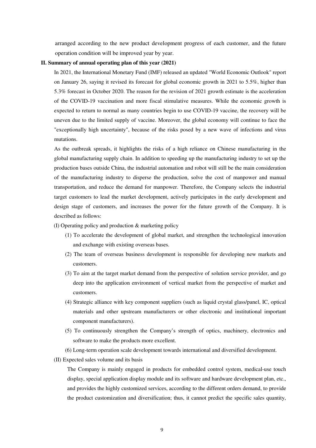arranged according to the new product development progress of each customer, and the future operation condition will be improved year by year.

#### **II. Summary of annual operating plan of this year (2021)**

In 2021, the International Monetary Fund (IMF) released an updated "World Economic Outlook" report on January 26, saying it revised its forecast for global economic growth in 2021 to 5.5%, higher than 5.3% forecast in October 2020. The reason for the revision of 2021 growth estimate is the acceleration of the COVID-19 vaccination and more fiscal stimulative measures. While the economic growth is expected to return to normal as many countries begin to use COVID-19 vaccine, the recovery will be uneven due to the limited supply of vaccine. Moreover, the global economy will continue to face the "exceptionally high uncertainty", because of the risks posed by a new wave of infections and virus mutations.

As the outbreak spreads, it highlights the risks of a high reliance on Chinese manufacturing in the global manufacturing supply chain. In addition to speeding up the manufacturing industry to set up the production bases outside China, the industrial automation and robot will still be the main consideration of the manufacturing industry to disperse the production, solve the cost of manpower and manual transportation, and reduce the demand for manpower. Therefore, the Company selects the industrial target customers to lead the market development, actively participates in the early development and design stage of customers, and increases the power for the future growth of the Company. It is described as follows:

(I) Operating policy and production & marketing policy

- (1) To accelerate the development of global market, and strengthen the technological innovation and exchange with existing overseas bases.
- (2) The team of overseas business development is responsible for developing new markets and customers.
- (3) To aim at the target market demand from the perspective of solution service provider, and go deep into the application environment of vertical market from the perspective of market and customers.
- (4) Strategic alliance with key component suppliers (such as liquid crystal glass/panel, IC, optical materials and other upstream manufacturers or other electronic and institutional important component manufacturers).
- (5) To continuously strengthen the Company's strength of optics, machinery, electronics and software to make the products more excellent.
- (6) Long-term operation scale development towards international and diversified development.

(II) Expected sales volume and its basis

The Company is mainly engaged in products for embedded control system, medical-use touch display, special application display module and its software and hardware development plan, etc., and provides the highly customized services, according to the different orders demand, to provide the product customization and diversification; thus, it cannot predict the specific sales quantity,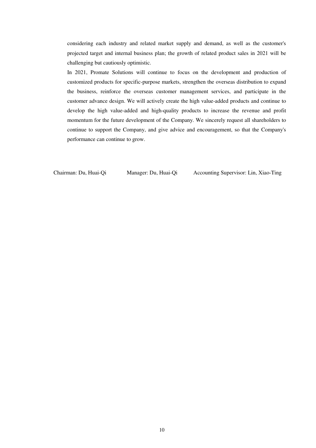considering each industry and related market supply and demand, as well as the customer's projected target and internal business plan; the growth of related product sales in 2021 will be challenging but cautiously optimistic.

In 2021, Promate Solutions will continue to focus on the development and production of customized products for specific-purpose markets, strengthen the overseas distribution to expand the business, reinforce the overseas customer management services, and participate in the customer advance design. We will actively create the high value-added products and continue to develop the high value-added and high-quality products to increase the revenue and profit momentum for the future development of the Company. We sincerely request all shareholders to continue to support the Company, and give advice and encouragement, so that the Company's performance can continue to grow.

Chairman: Du, Huai-Qi Manager: Du, Huai-Qi Accounting Supervisor: Lin, Xiao-Ting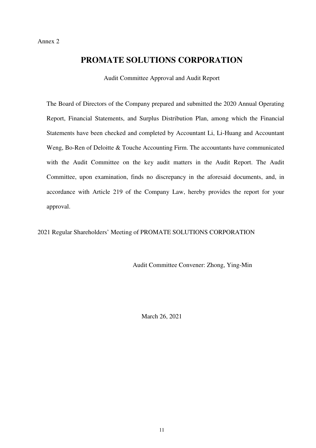# **PROMATE SOLUTIONS CORPORATION**

Audit Committee Approval and Audit Report

The Board of Directors of the Company prepared and submitted the 2020 Annual Operating Report, Financial Statements, and Surplus Distribution Plan, among which the Financial Statements have been checked and completed by Accountant Li, Li-Huang and Accountant Weng, Bo-Ren of Deloitte & Touche Accounting Firm. The accountants have communicated with the Audit Committee on the key audit matters in the Audit Report. The Audit Committee, upon examination, finds no discrepancy in the aforesaid documents, and, in accordance with Article 219 of the Company Law, hereby provides the report for your approval.

2021 Regular Shareholders' Meeting of PROMATE SOLUTIONS CORPORATION

Audit Committee Convener: Zhong, Ying-Min

March 26, 2021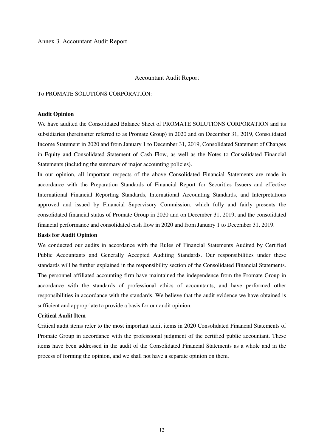### Annex 3. Accountant Audit Report

### Accountant Audit Report

#### To PROMATE SOLUTIONS CORPORATION:

### **Audit Opinion**

We have audited the Consolidated Balance Sheet of PROMATE SOLUTIONS CORPORATION and its subsidiaries (hereinafter referred to as Promate Group) in 2020 and on December 31, 2019, Consolidated Income Statement in 2020 and from January 1 to December 31, 2019, Consolidated Statement of Changes in Equity and Consolidated Statement of Cash Flow, as well as the Notes to Consolidated Financial Statements (including the summary of major accounting policies).

In our opinion, all important respects of the above Consolidated Financial Statements are made in accordance with the Preparation Standards of Financial Report for Securities Issuers and effective International Financial Reporting Standards, International Accounting Standards, and Interpretations approved and issued by Financial Supervisory Commission, which fully and fairly presents the consolidated financial status of Promate Group in 2020 and on December 31, 2019, and the consolidated financial performance and consolidated cash flow in 2020 and from January 1 to December 31, 2019.

#### **Basis for Audit Opinion**

We conducted our audits in accordance with the Rules of Financial Statements Audited by Certified Public Accountants and Generally Accepted Auditing Standards. Our responsibilities under these standards will be further explained in the responsibility section of the Consolidated Financial Statements. The personnel affiliated accounting firm have maintained the independence from the Promate Group in accordance with the standards of professional ethics of accountants, and have performed other responsibilities in accordance with the standards. We believe that the audit evidence we have obtained is sufficient and appropriate to provide a basis for our audit opinion.

#### **Critical Audit Item**

Critical audit items refer to the most important audit items in 2020 Consolidated Financial Statements of Promate Group in accordance with the professional judgment of the certified public accountant. These items have been addressed in the audit of the Consolidated Financial Statements as a whole and in the process of forming the opinion, and we shall not have a separate opinion on them.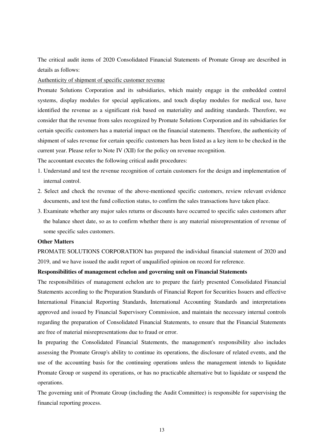The critical audit items of 2020 Consolidated Financial Statements of Promate Group are described in details as follows:

Authenticity of shipment of specific customer revenue

Promate Solutions Corporation and its subsidiaries, which mainly engage in the embedded control systems, display modules for special applications, and touch display modules for medical use, have identified the revenue as a significant risk based on materiality and auditing standards. Therefore, we consider that the revenue from sales recognized by Promate Solutions Corporation and its subsidiaries for certain specific customers has a material impact on the financial statements. Therefore, the authenticity of shipment of sales revenue for certain specific customers has been listed as a key item to be checked in the current year. Please refer to Note IV (XII) for the policy on revenue recognition.

The accountant executes the following critical audit procedures:

- 1. Understand and test the revenue recognition of certain customers for the design and implementation of internal control.
- 2. Select and check the revenue of the above-mentioned specific customers, review relevant evidence documents, and test the fund collection status, to confirm the sales transactions have taken place.
- 3. Examinate whether any major sales returns or discounts have occurred to specific sales customers after the balance sheet date, so as to confirm whether there is any material misrepresentation of revenue of some specific sales customers.

#### **Other Matters**

PROMATE SOLUTIONS CORPORATION has prepared the individual financial statement of 2020 and 2019, and we have issued the audit report of unqualified opinion on record for reference.

#### **Responsibilities of management echelon and governing unit on Financial Statements**

The responsibilities of management echelon are to prepare the fairly presented Consolidated Financial Statements according to the Preparation Standards of Financial Report for Securities Issuers and effective International Financial Reporting Standards, International Accounting Standards and interpretations approved and issued by Financial Supervisory Commission, and maintain the necessary internal controls regarding the preparation of Consolidated Financial Statements, to ensure that the Financial Statements are free of material misrepresentations due to fraud or error.

In preparing the Consolidated Financial Statements, the management's responsibility also includes assessing the Promate Group's ability to continue its operations, the disclosure of related events, and the use of the accounting basis for the continuing operations unless the management intends to liquidate Promate Group or suspend its operations, or has no practicable alternative but to liquidate or suspend the operations.

The governing unit of Promate Group (including the Audit Committee) is responsible for supervising the financial reporting process.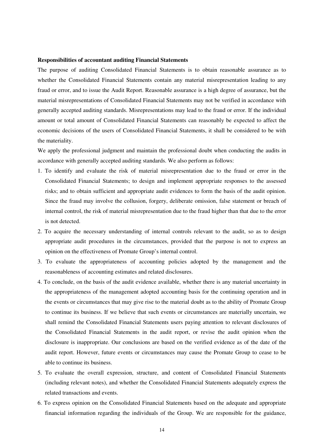#### **Responsibilities of accountant auditing Financial Statements**

The purpose of auditing Consolidated Financial Statements is to obtain reasonable assurance as to whether the Consolidated Financial Statements contain any material misrepresentation leading to any fraud or error, and to issue the Audit Report. Reasonable assurance is a high degree of assurance, but the material misrepresentations of Consolidated Financial Statements may not be verified in accordance with generally accepted auditing standards. Misrepresentations may lead to the fraud or error. If the individual amount or total amount of Consolidated Financial Statements can reasonably be expected to affect the economic decisions of the users of Consolidated Financial Statements, it shall be considered to be with the materiality.

We apply the professional judgment and maintain the professional doubt when conducting the audits in accordance with generally accepted auditing standards. We also perform as follows:

- 1. To identify and evaluate the risk of material misrepresentation due to the fraud or error in the Consolidated Financial Statements; to design and implement appropriate responses to the assessed risks; and to obtain sufficient and appropriate audit evidences to form the basis of the audit opinion. Since the fraud may involve the collusion, forgery, deliberate omission, false statement or breach of internal control, the risk of material misrepresentation due to the fraud higher than that due to the error is not detected.
- 2. To acquire the necessary understanding of internal controls relevant to the audit, so as to design appropriate audit procedures in the circumstances, provided that the purpose is not to express an opinion on the effectiveness of Promate Group's internal control.
- 3. To evaluate the appropriateness of accounting policies adopted by the management and the reasonableness of accounting estimates and related disclosures.
- 4. To conclude, on the basis of the audit evidence available, whether there is any material uncertainty in the appropriateness of the management adopted accounting basis for the continuing operation and in the events or circumstances that may give rise to the material doubt as to the ability of Promate Group to continue its business. If we believe that such events or circumstances are materially uncertain, we shall remind the Consolidated Financial Statements users paying attention to relevant disclosures of the Consolidated Financial Statements in the audit report, or revise the audit opinion when the disclosure is inappropriate. Our conclusions are based on the verified evidence as of the date of the audit report. However, future events or circumstances may cause the Promate Group to cease to be able to continue its business.
- 5. To evaluate the overall expression, structure, and content of Consolidated Financial Statements (including relevant notes), and whether the Consolidated Financial Statements adequately express the related transactions and events.
- 6. To express opinion on the Consolidated Financial Statements based on the adequate and appropriate financial information regarding the individuals of the Group. We are responsible for the guidance,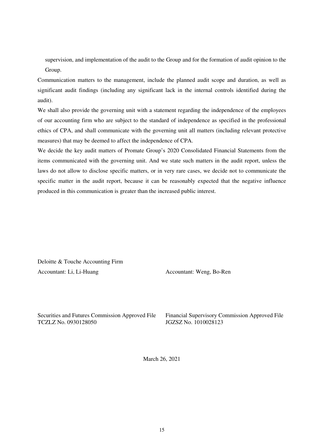supervision, and implementation of the audit to the Group and for the formation of audit opinion to the Group.

Communication matters to the management, include the planned audit scope and duration, as well as significant audit findings (including any significant lack in the internal controls identified during the audit).

We shall also provide the governing unit with a statement regarding the independence of the employees of our accounting firm who are subject to the standard of independence as specified in the professional ethics of CPA, and shall communicate with the governing unit all matters (including relevant protective measures) that may be deemed to affect the independence of CPA.

We decide the key audit matters of Promate Group's 2020 Consolidated Financial Statements from the items communicated with the governing unit. And we state such matters in the audit report, unless the laws do not allow to disclose specific matters, or in very rare cases, we decide not to communicate the specific matter in the audit report, because it can be reasonably expected that the negative influence produced in this communication is greater than the increased public interest.

Deloitte & Touche Accounting Firm Accountant: Li, Li-Huang

Accountant: Weng, Bo-Ren

Securities and Futures Commission Approved File TCZLZ No. 0930128050

 Financial Supervisory Commission Approved File JGZSZ No. 1010028123

March 26, 2021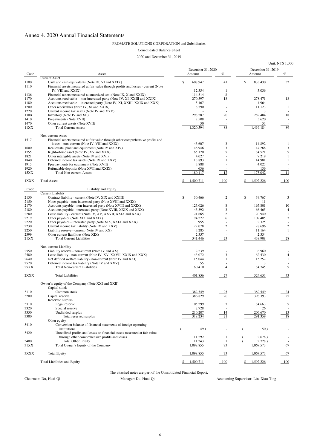# Annex 4. 2020 Annual Financial Statements

#### PROMATE SOLUTIONS CORPORATION and Subsidiaries

 December 31, 2020 December 31, 2019  $\Delta$ sset  $\Delta$ sset Amount  $\%$  Amount  $\%$ Current Asset 1100 Cash and cash equivalents (Note IV, VI and XXIX) \$ 608,947 41 \$ 833,430 52 1110 Financial assets measured at fair value through profits and losses - current (Note IV, VIII and XXIX)  $12.354$  1 3,036 1136 Financial assets measured at amortized cost (Note IX, X and XXIX) 114,314 8 1170 Accounts receivable – non-interested party (Note IV, XI, XXIII and XXIX) 270,397 18 278,471 18 1180 Accounts receivable – interested party (Note IV, XI, XXIII, XXIX and XXX) 5,167 - 4,964 - 1200 Other receivables (Note IV, XI and XXIX) 8,590 - 11,123 1 1220 Current income tax assets (Note IV and XXV) and  $\frac{1220}{\sqrt{10}}$  and  $\frac{1}{2}$  -  $\frac{3}{\sqrt{10}}$  -130X Inventory (Note IV and XII) 298,287 20 282,484 18 1410 Prepayments (Note XVII) 3,508 - 5,620 1470 Other current assets (Note XVII) 30 - 53 11XX Total Current Assets 1,320,594 88 1,419,184 89 Non-current Asset 1517 Financial assets measured at fair value through other comprehensive profits and losses - non-current (Note IV, VIII and XXIX) 43,607 3 14,892 1 1600 Real estate, plant and equipment (Note IV and XIV) 48,946 3 47,268 3 1755 Right-of-use asset (Note IV, XV and XXX) 65,120 5 84,521 5 1821 Other intangible assets (Note IV and XVI) 1821 4,027 - 7,219 1 1840 Deferred income tax assets (Note IV and XXV) 13,893 1 1 14,981 1 1915 Pprepayments for equipment (Note XVII) 3,888 - 4,025<br>1920 Refundable deposits (Note XVII and XXIX) 200 - 4,025 Refundable deposits (Note XVII and XXIX) 636 - 136 15XX Total Non-current Assets 180,117 12 173,042 11 1XXX Total Assets 1.500,711 100 \$ 1,592,226 100 Code Liability and Equity Current Liability 2130 Contract liability - current (Note IV, XIX and XXIII)  $\qquad$  \$ 30,466 2 \$ 39,767 3 2150 Notes payable - non-interested party (Note XVIII and XXIX) <br>2170 Accounts payable - non-interested party (Note XVIII and XXIX) <br>2170 8 165.801 2170 Accounts payable - non-interested party (Note XVIII and XXIX) 123,026 8 165,801 10 2180 Accounts payable - interested party (Note XVIII, XXIX and XXX) 43,392 3 66,465 4 2280 Lease liability - current (Note IV, XV, XXVII, XXIX and XXX) 21,665 2 20,940 1<br>2219 Other pavables (Note XIX and XXIX) 34.222 6 102.405 7 2219 Other payables (Note XIX and XXIX) 34,222 6 102,405 7 2220 Other payables - interested party (Note XIX, XXIX and XXX) 955 - 2,325 - 2,325 - 2,325 - 2,325 - 2,325 - 2,325 - 2,325 - 2,325 - 2,325 - 2,325 - 2,325 - 2,325 - 2,325 - 2,325 - 2,325 - 2,325 - 2,325 - 2,325 - 2,325 - 22,078 23,696 2 23,696 2 22,078 2 28,696 2 2250 Liability reserve - current (Note IV and XX) 3,285 - 11,164 1 2399 Other current liabilities (Note XIX)<br>21XX Total Current Liabilities  $\frac{2,357}{341,446}$   $\frac{2,357}{23}$   $\frac{2,334}{439,908}$   $\frac{2,334}{28}$ 21XX Total Current Liabilities 23 541,446 23 439,908 Non-current Liability 2550 Liability reserve - non-current (Note IV and XX) 2,239 - 6,960 - 6,960 2580 Lease liability - non-current (Note IV, XV, XXVII, XXIX and XXX) 43,072 3 62,530 4 2640 Net defined welfare liability - non-current (Note IV and XXI) 15,044 1 15,252 1 2570 Deferred income tax liability (Note IV and XXV) 2570 55 - 3 3 25XX Total Non-current Liabilities 60,410 125XX 10th 10th Contract Contract Contract Contract Contract Contract Contract Contract Contract Contract Contract Contract Contract Contract Contract Contract Contract Contract Co  $2XXX$  Total Liabilities  $\frac{401,856}{27}$   $\frac{27}{524,653}$   $\frac{33}{27}$ Owner's equity of the Company (Note XXI and XXII) Capital stock 3110 Common stock 24 Common stock 24 Common stock 24 Common stock 24 Common stock 24 Common stock 24 Common stock 3200 Capital reserve 25 25 26 26 27 386,829 26 26 396,393 25 Reserved surplus  $3310$  Legal reserve  $5$  and  $105,299$   $7$   $84,663$   $5$ 3320 Special reserve 2008 Special reserve 2,728 - 26 26 - 26 - 26 - 26 26 26 26 27 28 - 26 26 26 27 28 26 27 28 26 27 28 26 27 28 26 27 28 27 28 27 28 27 28 27 28 27 28 27 28 27 28 27 28 27 28 27 28 27 28 27 28 27 28 27 28 3350 Undivided surplus 210,207 210,207 214 206,670 206,670 213 3300 Total reserved surplus 318,234 21 291,359 18 Other equity 3410 Conversion balance of financial statements of foreign operating institutions  $($   $49)$   $($   $50)$   $-$ 

#### Consolidated Balance Sheet

#### 2020 and December 31, 2019

Unit: NT\$ 1,000

3420 Unrealized profits and losses on financial assets measured at fair value through other comprehensive profits and losses  $11,292$   $1$  (  $2,678$  )

| 3400<br>31XX | <b>Total Other Equity</b><br>Total Owner's Equity of the Company | 11,243<br>,098,855 | $\overline{ }$ | 2,728<br>.067,573 | 67  |
|--------------|------------------------------------------------------------------|--------------------|----------------|-------------------|-----|
| 3XXX         | <b>Total Equity</b>                                              | ,098,855           | 72             | 1,067,573         | 67  |
|              | Total Liabilities and Equity                                     | 1,500,71           | 100            | .592,226          | 100 |

The attached notes are part of the Consolidated Financial Report.

Chairman: Du, Huai-Qi Manager: Du, Huai-Qi Accounting Supervisor: Lin, Xiao-Ting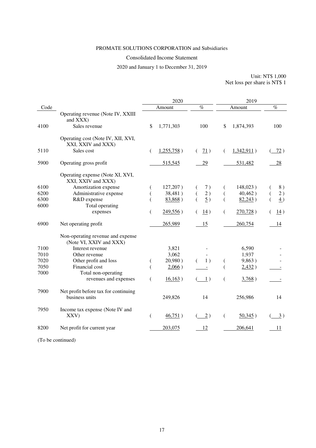# PROMATE SOLUTIONS CORPORATION and Subsidiaries

### Consolidated Income Statement

2020 and January 1 to December 31, 2019

Unit: NT\$ 1,000 Net loss per share is NT\$ 1

|      |                                                              |    | 2020          |                    | 2019     |             |                    |
|------|--------------------------------------------------------------|----|---------------|--------------------|----------|-------------|--------------------|
| Code |                                                              |    | Amount        | $\%$               |          | Amount      | $\%$               |
|      | Operating revenue (Note IV, XXIII<br>and XXX)                |    |               |                    |          |             |                    |
| 4100 | Sales revenue                                                | \$ | 1,771,303     | 100                | \$       | 1,874,393   | 100                |
|      | Operating cost (Note IV, XII, XVI,<br>XXI, XXIV and XXX)     |    |               |                    |          |             |                    |
| 5110 | Sales cost                                                   | €  | $1,255,758$ ) | 71)                | €        | 1,342,911)  | 72)                |
| 5900 | Operating gross profit                                       |    | 515,545       | 29                 |          | 531,482     | 28                 |
|      | Operating expense (Note XI, XVI,<br>XXI, XXIV and XXX)       |    |               |                    |          |             |                    |
| 6100 | Amortization expense                                         |    | 127,207)      | 7)                 |          | $148,023$ ) | 8)                 |
| 6200 | Administrative expense                                       |    | 38,481)       | 2)                 |          | 40,462)     | 2)                 |
| 6300 | R&D expense                                                  |    | 83,868)       | $\overline{2}$ )   |          | 82,243)     | $\overline{4}$ )   |
| 6000 | Total operating                                              |    |               |                    |          |             |                    |
|      | expenses                                                     |    | 249,556)      | $\underline{14}$ ) | $\left($ | $270,728$ ) | $\underline{14}$ ) |
| 6900 | Net operating profit                                         |    | 265,989       | 15                 |          | 260,754     | 14                 |
|      | Non-operating revenue and expense<br>(Note VI, XXIV and XXX) |    |               |                    |          |             |                    |
| 7100 | Interest revenue                                             |    | 3,821         |                    |          | 6,590       |                    |
| 7010 | Other revenue                                                |    | 3,062         |                    |          | 1,937       |                    |
| 7020 | Other profit and loss                                        |    | 20,980)       | 1)                 |          | 9,863)      |                    |
| 7050 | Financial cost                                               |    | $2,066$ )     |                    |          | 2,432)      |                    |
| 7000 | Total non-operating                                          |    |               |                    |          |             |                    |
|      | revenues and expenses                                        | €  | 16,163)       | 1)                 | €        | 3,768)      |                    |
| 7900 | Net profit before tax for continuing<br>business units       |    | 249,826       | 14                 |          | 256,986     | 14                 |
| 7950 | Income tax expense (Note IV and<br>XXV)                      | €  | 46,751)       | 2)                 | €        | $50,345$ )  | 3)                 |
| 8200 | Net profit for current year                                  |    | 203,075       | 12                 |          | 206,641     | 11                 |
|      |                                                              |    |               |                    |          |             |                    |

(To be continued)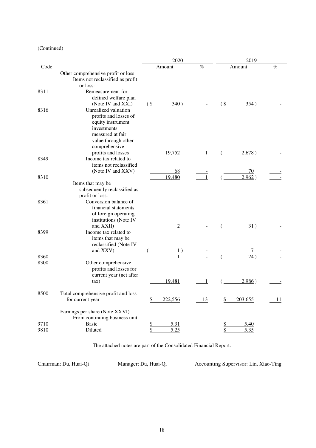### (Continued)

|              |                                                                                                                                               |           | 2020           |              |           | 2019         |      |
|--------------|-----------------------------------------------------------------------------------------------------------------------------------------------|-----------|----------------|--------------|-----------|--------------|------|
| Code         |                                                                                                                                               |           | Amount         | %            |           | Amount       | $\%$ |
|              | Other comprehensive profit or loss<br>Items not reclassified as profit<br>or loss:                                                            |           |                |              |           |              |      |
| 8311         | Remeasurement for<br>defined welfare plan<br>(Note IV and XXI)                                                                                | $($ \$    | 340)           |              | $($ \$    | 354)         |      |
| 8316         | Unrealized valuation<br>profits and losses of<br>equity instrument<br>investments<br>measured at fair<br>value through other<br>comprehensive |           |                |              |           |              |      |
| 8349         | profits and losses<br>Income tax related to<br>items not reclassified                                                                         |           | 19,752         | $\mathbf{1}$ | €         | 2,678)       |      |
|              | (Note IV and XXV)                                                                                                                             |           | 68             |              |           | 70           |      |
| 8310         |                                                                                                                                               |           | 19,480         | $\mathbf{1}$ |           | 2,962)       |      |
|              | Items that may be<br>subsequently reclassified as<br>profit or loss:                                                                          |           |                |              |           |              |      |
| 8361         | Conversion balance of<br>financial statements<br>of foreign operating<br>institutions (Note IV<br>and XXII)                                   |           | $\overline{2}$ |              | €         | 31)          |      |
| 8399         | Income tax related to<br>items that may be<br>reclassified (Note IV<br>and XXV)                                                               |           | $\perp$ )      |              |           |              |      |
| 8360         |                                                                                                                                               |           | $\mathbf{1}$   |              |           | 24)          |      |
| 8300         | Other comprehensive<br>profits and losses for<br>current year (net after                                                                      |           |                |              |           |              |      |
|              | tax)                                                                                                                                          |           | 19,481         | 1            |           | 2,986)       |      |
| 8500         | Total comprehensive profit and loss<br>for current year                                                                                       | <u>\$</u> | 222,556        | 13           | <u>\$</u> | 203,655      | 11   |
|              | Earnings per share (Note XXVI)<br>From continuing business unit                                                                               |           |                |              |           |              |      |
| 9710<br>9810 | <b>Basic</b><br>Diluted                                                                                                                       | \$<br>\$  | 5.31<br>5.25   |              | \$<br>\$  | 5.40<br>5.35 |      |
|              |                                                                                                                                               |           |                |              |           |              |      |

The attached notes are part of the Consolidated Financial Report.

Chairman: Du, Huai-Qi Manager: Du, Huai-Qi Accounting Supervisor: Lin, Xiao-Ting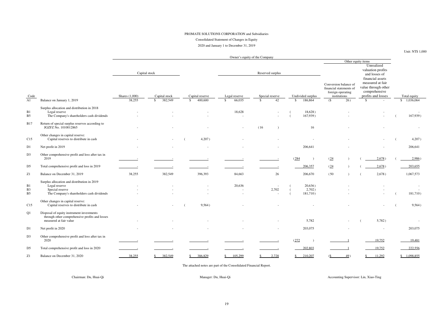### PROMATE SOLUTIONS CORPORATION and Subsidiaries

Consolidated Statement of Changes in Equity

2020 and January 1 to December 31, 2019

### Unit: NT\$ 1,000

Owner's equity of the Company

|                                               |                                                                                                                              |                |                          |                          |                          |                                   |                               |                                                                                       | Other equity items                |                                                                                                    |                          |
|-----------------------------------------------|------------------------------------------------------------------------------------------------------------------------------|----------------|--------------------------|--------------------------|--------------------------|-----------------------------------|-------------------------------|---------------------------------------------------------------------------------------|-----------------------------------|----------------------------------------------------------------------------------------------------|--------------------------|
|                                               |                                                                                                                              |                |                          |                          |                          |                                   |                               |                                                                                       |                                   | Unrealized                                                                                         |                          |
|                                               |                                                                                                                              |                | Capital stock            |                          |                          | Reserved surplus                  |                               |                                                                                       |                                   | valuation profits<br>and losses of                                                                 |                          |
| Code                                          |                                                                                                                              | Shares (1,000) | Capital stock            | Capital reserve          | Legal reserve            | Special reserve                   | Undivided surplus             | Conversion balance of<br>financial statements of<br>foreign operating<br>institutions |                                   | financial assets<br>measured at fair<br>value through other<br>comprehensive<br>profits and losses | Total equity             |
| A1                                            | Balance on January 1, 2019                                                                                                   | 38,255         | 382,549<br>$\mathcal{S}$ | 400,600<br>-S            | 66,035<br>$\mathbb{S}$   | 42<br>$\mathcal{S}$               | 186,864<br>$\mathbb{S}$       | $\overline{26)}$<br>(S                                                                | <sup>\$</sup>                     |                                                                                                    | \$1,036,064              |
| B1<br>B <sub>5</sub>                          | Surplus allocation and distribution in 2018<br>Legal reserve<br>The Company's shareholders cash dividends                    |                |                          |                          | 18,628                   |                                   | 18,628)<br>167,939)           |                                                                                       |                                   |                                                                                                    | 167,939)                 |
| <b>B17</b>                                    | Return of special surplus reserves according to<br>JGZFZ No. 1010012865                                                      |                |                          | $\overline{\phantom{a}}$ | $\overline{\phantom{a}}$ | (16)                              | 16                            |                                                                                       |                                   |                                                                                                    | $\overline{\phantom{a}}$ |
| C15                                           | Other changes in capital reserve:<br>Capital reserves to distribute in cash                                                  |                |                          | 4,207)                   |                          |                                   |                               |                                                                                       |                                   |                                                                                                    | 4,207)                   |
| D <sub>1</sub>                                | Net profit in 2019                                                                                                           |                |                          |                          |                          |                                   | 206,641                       |                                                                                       |                                   |                                                                                                    | 206,641                  |
| D <sub>3</sub>                                | Other comprehensive profit and loss after tax in<br>2019                                                                     |                |                          |                          |                          |                                   | (284)                         | (24)                                                                                  |                                   | 2,678)                                                                                             | 2,986)                   |
| D <sub>5</sub>                                | Total comprehensive profit and loss in 2019                                                                                  |                |                          |                          |                          |                                   | 206,357                       | (24)                                                                                  |                                   | 2,678)                                                                                             | 203,655                  |
| ${\bf Z}1$                                    | Balance on December 31, 2019                                                                                                 | 38,255         | 382,549                  | 396,393                  | 84,663                   | 26                                | 206,670                       | (50)                                                                                  |                                   | 2,678)                                                                                             | 1,067,573                |
| B <sub>1</sub><br><b>B3</b><br>B <sub>5</sub> | Surplus allocation and distribution in 2019<br>Legal reserve<br>Special reserve<br>The Company's shareholders cash dividends |                |                          |                          | 20,636                   | $\overline{\phantom{a}}$<br>2,702 | 20,636)<br>2,702)<br>181,710) |                                                                                       |                                   |                                                                                                    | 181,710)                 |
| C15                                           | Other changes in capital reserve:<br>Capital reserves to distribute in cash                                                  |                |                          | 9,564)                   |                          |                                   |                               |                                                                                       |                                   |                                                                                                    | 9,564)                   |
| Q1                                            | Disposal of equity instrument investments<br>through other comprehensive profits and losses<br>measured at fair value        |                |                          |                          |                          |                                   | 5,782                         |                                                                                       |                                   | 5,782)                                                                                             |                          |
| D <sub>1</sub>                                | Net profit in 2020                                                                                                           | $\sim$         | $\sim$                   | $\overline{\phantom{a}}$ | $\sim$                   | $\sim$                            | 203,075                       |                                                                                       | $\overline{\phantom{a}}$          | $\sim$                                                                                             | 203,075                  |
| D <sub>3</sub>                                | Other comprehensive profit and loss after tax in<br>2020                                                                     |                |                          |                          |                          |                                   | (272)                         |                                                                                       |                                   | 19,752                                                                                             | 19,481                   |
| D <sub>5</sub>                                | Total comprehensive profit and loss in 2020                                                                                  | $\mathbf{r}$   |                          |                          |                          |                                   | 202,803                       |                                                                                       |                                   | 19,752                                                                                             | 222,556                  |
| $\rm Z1$                                      | Balance on December 31, 2020                                                                                                 | 38,255         | \$382,549                | 386,829<br>S.            | 105,299<br>$\mathbb{S}$  | 2,728<br>S                        | $\frac{$210,207}$             | 49)<br>$\frac{S}{S}$                                                                  | $\frac{\mathcal{S}}{\mathcal{S}}$ | 11,292                                                                                             | \$1,098,855              |

The attached notes are part of the Consolidated Financial Report.

Chairman: Du, Huai-Qi Manager: Du, Huai-Qi Accounting Supervisor: Lin, Xiao-Ting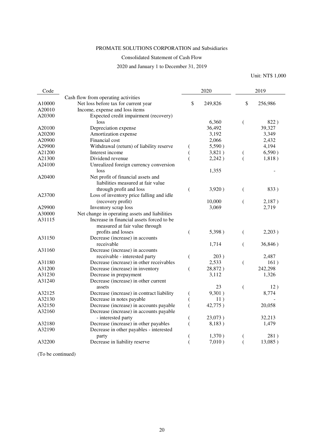## PROMATE SOLUTIONS CORPORATION and Subsidiaries

### Consolidated Statement of Cash Flow

### 2020 and January 1 to December 31, 2019

Unit: NT\$ 1,000

| Code   |                                                |                  | 2020    |               | 2019    |  |  |
|--------|------------------------------------------------|------------------|---------|---------------|---------|--|--|
|        | Cash flow from operating activities            |                  |         |               |         |  |  |
| A10000 | Net loss before tax for current year           | \$               | 249,826 | $\mathsf{\$}$ | 256,986 |  |  |
| A20010 | Income, expense and loss items                 |                  |         |               |         |  |  |
| A20300 | Expected credit impairment (recovery)          |                  |         |               |         |  |  |
|        | loss                                           |                  | 6,360   | (             | 822)    |  |  |
| A20100 | Depreciation expense                           |                  | 36,492  |               | 39,327  |  |  |
| A20200 | Amortization expense                           |                  | 3,192   |               | 3,349   |  |  |
| A20900 | Financial cost                                 |                  | 2,066   |               | 2,432   |  |  |
| A29900 | Withdrawal (return) of liability reserve       | €                | 5,590)  |               | 4,194   |  |  |
| A21200 | Interest income                                | $\overline{(\ }$ | 3,821)  | €             | 6,590)  |  |  |
| A21300 | Dividend revenue                               | $\overline{(}$   | 2,242)  | (             | 1,818)  |  |  |
| A24100 | Unrealized foreign currency conversion         |                  |         |               |         |  |  |
|        | loss                                           |                  | 1,355   |               |         |  |  |
| A20400 | Net profit of financial assets and             |                  |         |               |         |  |  |
|        | liabilities measured at fair value             |                  |         |               |         |  |  |
|        | through profit and loss                        | €                | 3,920)  | (             | 833)    |  |  |
| A23700 | Loss of inventory price falling and idle       |                  |         |               |         |  |  |
|        | (recovery profit)                              |                  | 10,000  | (             | 2,187)  |  |  |
| A29900 | Inventory scrap loss                           |                  | 3,069   |               | 2,719   |  |  |
| A30000 | Net change in operating assets and liabilities |                  |         |               |         |  |  |
| A31115 | Increase in financial assets forced to be      |                  |         |               |         |  |  |
|        | measured at fair value through                 |                  |         |               |         |  |  |
|        | profits and losses                             | $\overline{(}$   | 5,398)  | €             | 2,203)  |  |  |
| A31150 | Decrease (increase) in accounts                |                  |         |               |         |  |  |
|        | receivable                                     |                  | 1,714   |               | 36,846) |  |  |
| A31160 | Decrease (increase) in accounts                |                  |         |               |         |  |  |
|        | receivable - interested party                  | $\overline{(\ }$ | 203)    |               | 2,487   |  |  |
| A31180 | Decrease (increase) in other receivables       |                  | 2,533   | (             | 161)    |  |  |
| A31200 | Decrease (increase) in inventory               | (                | 28,872) |               | 242,298 |  |  |
| A31230 | Decrease in prepayment                         |                  | 3,112   |               | 1,326   |  |  |
| A31240 | Decrease (increase) in other current           |                  |         |               |         |  |  |
|        | assets                                         |                  | 23      | (             | 12)     |  |  |
| A32125 | Decrease (increase) in contract liability      | (                | 9,301)  |               | 8,774   |  |  |
| A32130 | Decrease in notes payable                      |                  | 11)     |               |         |  |  |
| A32150 | Decrease (increase) in accounts payable        | $\overline{(}$   | 42,775) |               | 20,058  |  |  |
| A32160 | Decrease (increase) in accounts payable        |                  |         |               |         |  |  |
|        | - interested party                             |                  | 23,073) |               | 32,213  |  |  |
| A32180 | Decrease (increase) in other payables          | $\overline{(}$   | 8,183)  |               | 1,479   |  |  |
| A32190 | Decrease in other payables - interested        |                  |         |               |         |  |  |
|        | party                                          |                  | 1,370)  | (             | 281)    |  |  |
| A32200 | Decrease in liability reserve                  |                  | 7,010)  |               | 13,085) |  |  |
|        |                                                |                  |         |               |         |  |  |

(To be continued)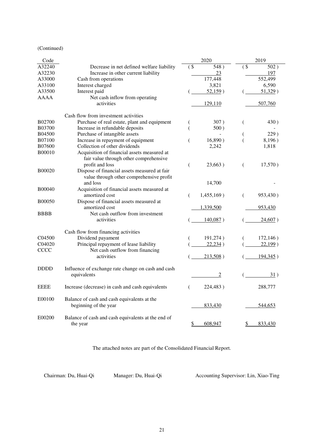### (Continued)

| Code               |                                                    |        | 2020           |        | 2019     |
|--------------------|----------------------------------------------------|--------|----------------|--------|----------|
| A32240             | Decrease in net defined welfare liability          | $($ \$ | 548)           | $($ \$ | 502)     |
| A32230             | Increase in other current liability                |        | 23             |        | 197      |
| A33000             | Cash from operations                               |        | 177,448        |        | 552,499  |
| A33100             | Interest charged                                   |        | 3,821          |        | 6,590    |
| A33500             | Interest paid                                      |        | 52,159)        |        | 51,329)  |
| AAAA               | Net cash inflow from operating                     |        |                |        |          |
|                    | activities                                         |        | 129,110        |        | 507,760  |
|                    | Cash flow from investment activities               |        |                |        |          |
| <b>B02700</b>      | Purchase of real estate, plant and equipment       |        | 307)           | (      | 430)     |
| <b>B03700</b>      | Increase in refundable deposits                    | €      | 500)           |        |          |
| <b>B04500</b>      | Purchase of intangible assets                      |        |                |        | 229)     |
| <b>B07100</b>      | Increase in repayment of equipment                 | €      | 16,890)        |        | 8,196)   |
| <b>B07600</b>      | Collection of other dividends                      |        | 2,242          |        | 1,818    |
| <b>B00010</b>      | Acquisition of financial assets measured at        |        |                |        |          |
|                    | fair value through other comprehensive             |        |                |        |          |
|                    | profit and loss                                    | €      | 23,663)        | €      | 17,570)  |
| <b>B00020</b>      | Dispose of financial assets measured at fair       |        |                |        |          |
|                    | value through other comprehensive profit           |        |                |        |          |
|                    | and loss                                           |        | 14,700         |        |          |
| <b>B00040</b>      | Acquisition of financial assets measured at        |        |                |        |          |
|                    | amortized cost                                     | €      | $1,455,169$ )  | €      | 953,430) |
| <b>B00050</b>      | Dispose of financial assets measured at            |        |                |        |          |
|                    | amortized cost                                     |        | 1,339,500      |        | 953,430  |
| <b>BBBB</b>        | Net cash outflow from investment                   |        |                |        |          |
|                    | activities                                         |        | 140,087)       |        | 24,607)  |
|                    |                                                    |        |                |        |          |
|                    | Cash flow from financing activities                |        |                |        |          |
| C <sub>04500</sub> | Dividend payament                                  |        | 191,274)       |        | 172,146) |
| C04020             | Principal repayment of lease liability             |        | 22,234)        |        | 22,199)  |
| CCCC               | Net cash outflow from financing                    |        |                |        |          |
|                    | activities                                         |        | 213,508)       |        | 194,345) |
| <b>DDDD</b>        | Influence of exchange rate change on cash and cash |        |                |        |          |
|                    | equivalents                                        |        | $\overline{2}$ |        | 31)      |
|                    |                                                    |        |                |        |          |
| <b>EEEE</b>        | Increase (decrease) in cash and cash equivalents   | €      | 224,483)       |        | 288,777  |
|                    |                                                    |        |                |        |          |
| E00100             | Balance of cash and cash equivalents at the        |        |                |        |          |
|                    | beginning of the year                              |        | 833,430        |        | 544,653  |
|                    |                                                    |        |                |        |          |
| E00200             | Balance of cash and cash equivalents at the end of |        |                |        |          |
|                    | the year                                           | \$     | 608,947        | S.     | 833,430  |

The attached notes are part of the Consolidated Financial Report.

Chairman: Du, Huai-Qi Manager: Du, Huai-Qi Accounting Supervisor: Lin, Xiao-Ting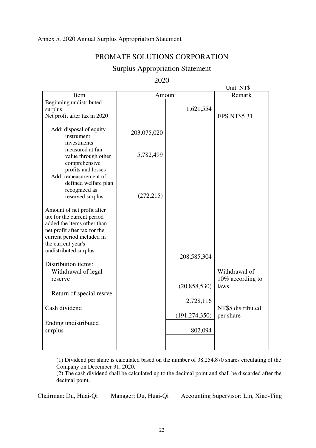# Annex 5. 2020 Annual Surplus Appropriation Statement

# PROMATE SOLUTIONS CORPORATION

# Surplus Appropriation Statement

2020

|                                                                                                                                                                            |             |                            | Unit: NT\$                        |
|----------------------------------------------------------------------------------------------------------------------------------------------------------------------------|-------------|----------------------------|-----------------------------------|
| Item                                                                                                                                                                       | Amount      | Remark                     |                                   |
| Beginning undistributed<br>surplus<br>Net profit after tax in 2020                                                                                                         |             | 1,621,554                  | <b>EPS NT\$5.31</b>               |
| Add: disposal of equity<br>instrument<br>investments                                                                                                                       | 203,075,020 |                            |                                   |
| measured at fair<br>value through other<br>comprehensive                                                                                                                   | 5,782,499   |                            |                                   |
| profits and losses<br>Add: remeasurement of<br>defined welfare plan<br>recognized as<br>reserved surplus                                                                   | (272, 215)  |                            |                                   |
| Amount of net profit after<br>tax for the current period<br>added the items other than<br>net profit after tax for the<br>current period included in<br>the current year's |             |                            |                                   |
| undistributed surplus                                                                                                                                                      |             | 208,585,304                |                                   |
| Distribution items:<br>Withdrawal of legal<br>reserve                                                                                                                      |             |                            | Withdrawal of<br>10% according to |
| Return of special resrve                                                                                                                                                   |             | (20, 858, 530)             | laws                              |
| Cash dividend                                                                                                                                                              |             | 2,728,116                  | NT\$5 distributed                 |
| Ending undistributed<br>surplus                                                                                                                                            |             | (191, 274, 350)<br>802,094 | per share                         |
|                                                                                                                                                                            |             |                            |                                   |

(1) Dividend per share is calculated based on the number of 38,254,870 shares circulating of the Company on December 31, 2020.

(2) The cash dividend shall be calculated up to the decimal point and shall be discarded after the decimal point.

Chairman: Du, Huai-Qi Manager: Du, Huai-Qi Accounting Supervisor: Lin, Xiao-Ting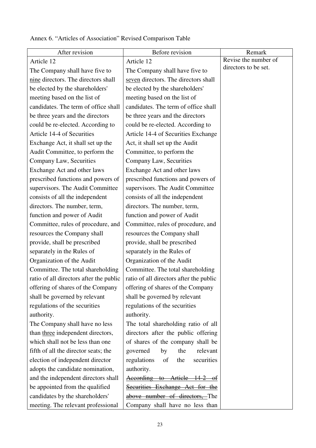| After revision                          | Before revision                         | Remark               |  |
|-----------------------------------------|-----------------------------------------|----------------------|--|
| Article 12                              | Article 12                              | Revise the number of |  |
| The Company shall have five to          | The Company shall have five to          | directors to be set. |  |
| nine directors. The directors shall     | seven directors. The directors shall    |                      |  |
| be elected by the shareholders'         | be elected by the shareholders'         |                      |  |
| meeting based on the list of            | meeting based on the list of            |                      |  |
| candidates. The term of office shall    | candidates. The term of office shall    |                      |  |
| be three years and the directors        | be three years and the directors        |                      |  |
| could be re-elected. According to       | could be re-elected. According to       |                      |  |
| Article 14-4 of Securities              | Article 14-4 of Securities Exchange     |                      |  |
| Exchange Act, it shall set up the       | Act, it shall set up the Audit          |                      |  |
| Audit Committee, to perform the         | Committee, to perform the               |                      |  |
| Company Law, Securities                 | Company Law, Securities                 |                      |  |
| Exchange Act and other laws             | Exchange Act and other laws             |                      |  |
| prescribed functions and powers of      | prescribed functions and powers of      |                      |  |
| supervisors. The Audit Committee        | supervisors. The Audit Committee        |                      |  |
| consists of all the independent         | consists of all the independent         |                      |  |
| directors. The number, term,            | directors. The number, term,            |                      |  |
| function and power of Audit             | function and power of Audit             |                      |  |
| Committee, rules of procedure, and      | Committee, rules of procedure, and      |                      |  |
| resources the Company shall             | resources the Company shall             |                      |  |
| provide, shall be prescribed            | provide, shall be prescribed            |                      |  |
| separately in the Rules of              | separately in the Rules of              |                      |  |
| Organization of the Audit               | Organization of the Audit               |                      |  |
| Committee. The total shareholding       | Committee. The total shareholding       |                      |  |
| ratio of all directors after the public | ratio of all directors after the public |                      |  |
| offering of shares of the Company       | offering of shares of the Company       |                      |  |
| shall be governed by relevant           | shall be governed by relevant           |                      |  |
| regulations of the securities           | regulations of the securities           |                      |  |
| authority.                              | authority.                              |                      |  |
| The Company shall have no less          | The total shareholding ratio of all     |                      |  |
| than three independent directors,       | directors after the public offering     |                      |  |
| which shall not be less than one        | of shares of the company shall be       |                      |  |
| fifth of all the director seats; the    | governed<br>the<br>relevant<br>by       |                      |  |
| election of independent director        | regulations<br>of<br>securities<br>the  |                      |  |
| adopts the candidate nomination,        | authority.                              |                      |  |
| and the independent directors shall     | According to Article<br>–14–2           |                      |  |
| be appointed from the qualified         | Securities Exchange Act for the         |                      |  |
| candidates by the shareholders'         | above number of directors, The          |                      |  |
| meeting. The relevant professional      | Company shall have no less than         |                      |  |

# Annex 6. "Articles of Association" Revised Comparison Table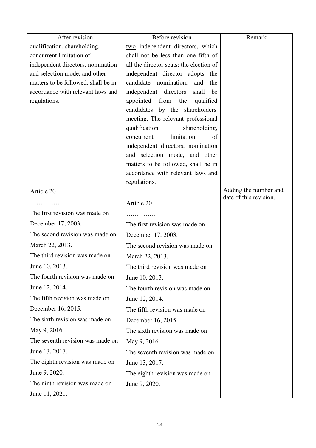| After revision                      | Before revision                                                       | Remark                                          |
|-------------------------------------|-----------------------------------------------------------------------|-------------------------------------------------|
| qualification, shareholding,        | two independent directors, which                                      |                                                 |
| concurrent limitation of            | shall not be less than one fifth of                                   |                                                 |
| independent directors, nomination   | all the director seats; the election of                               |                                                 |
| and selection mode, and other       | independent director adopts the                                       |                                                 |
| matters to be followed, shall be in | candidate nomination, and<br>the                                      |                                                 |
| accordance with relevant laws and   | independent directors shall<br>be                                     |                                                 |
| regulations.                        | appointed from the qualified                                          |                                                 |
|                                     | candidates by the shareholders'<br>meeting. The relevant professional |                                                 |
|                                     | qualification,<br>shareholding,                                       |                                                 |
|                                     | limitation<br>of<br>concurrent                                        |                                                 |
|                                     | independent directors, nomination                                     |                                                 |
|                                     | and selection mode, and other                                         |                                                 |
|                                     | matters to be followed, shall be in                                   |                                                 |
|                                     | accordance with relevant laws and                                     |                                                 |
|                                     | regulations.                                                          |                                                 |
| Article 20                          |                                                                       | Adding the number and<br>date of this revision. |
| .                                   | Article 20                                                            |                                                 |
| The first revision was made on      | .                                                                     |                                                 |
| December 17, 2003.                  | The first revision was made on                                        |                                                 |
| The second revision was made on     | December 17, 2003.                                                    |                                                 |
| March 22, 2013.                     | The second revision was made on                                       |                                                 |
| The third revision was made on      | March 22, 2013.                                                       |                                                 |
| June 10, 2013.                      | The third revision was made on                                        |                                                 |
| The fourth revision was made on     | June 10, 2013.                                                        |                                                 |
| June 12, 2014.                      | The fourth revision was made on                                       |                                                 |
| The fifth revision was made on      | June 12, 2014.                                                        |                                                 |
| December 16, 2015.                  | The fifth revision was made on                                        |                                                 |
| The sixth revision was made on      | December 16, 2015.                                                    |                                                 |
| May 9, 2016.                        | The sixth revision was made on                                        |                                                 |
| The seventh revision was made on    | May 9, 2016.                                                          |                                                 |
| June 13, 2017.                      | The seventh revision was made on                                      |                                                 |
| The eighth revision was made on     | June 13, 2017.                                                        |                                                 |
| June 9, 2020.                       | The eighth revision was made on                                       |                                                 |
| The ninth revision was made on      | June 9, 2020.                                                         |                                                 |
| June 11, 2021.                      |                                                                       |                                                 |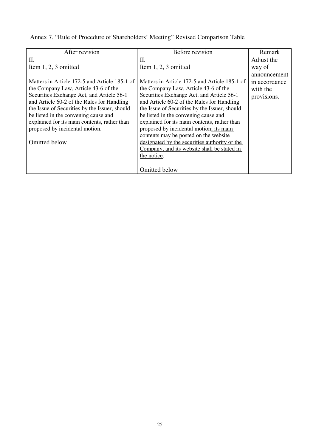| Annex 7. "Rule of Procedure of Shareholders' Meeting" Revised Comparison Table |  |  |
|--------------------------------------------------------------------------------|--|--|
|                                                                                |  |  |

| After revision                                | Before revision                               | Remark        |
|-----------------------------------------------|-----------------------------------------------|---------------|
| Π.                                            | Π.                                            | Adjust the    |
| Item $1, 2, 3$ omitted                        | Item $1, 2, 3$ omitted                        | way of        |
|                                               |                                               | announcement  |
| Matters in Article 172-5 and Article 185-1 of | Matters in Article 172-5 and Article 185-1 of | in accordance |
| the Company Law, Article 43-6 of the          | the Company Law, Article 43-6 of the          | with the      |
| Securities Exchange Act, and Article 56-1     | Securities Exchange Act, and Article 56-1     | provisions.   |
| and Article 60-2 of the Rules for Handling    | and Article 60-2 of the Rules for Handling    |               |
| the Issue of Securities by the Issuer, should | the Issue of Securities by the Issuer, should |               |
| be listed in the convening cause and          | be listed in the convening cause and          |               |
| explained for its main contents, rather than  | explained for its main contents, rather than  |               |
| proposed by incidental motion.                | proposed by incidental motion; its main       |               |
|                                               | contents may be posted on the website         |               |
| Omitted below                                 | designated by the securities authority or the |               |
|                                               | Company, and its website shall be stated in   |               |
|                                               | the notice.                                   |               |
|                                               |                                               |               |
|                                               | <b>Omitted below</b>                          |               |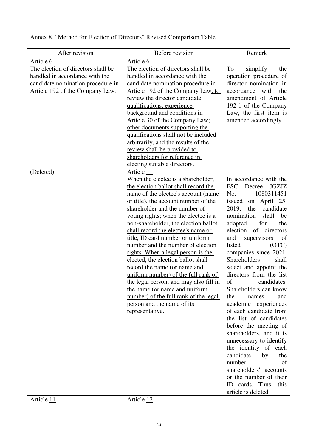Annex 8. "Method for Election of Directors" Revised Comparison Table

| Article 6<br>Article 6<br>The election of directors shall be<br>The election of directors shall be<br>To<br>simplify<br>the<br>handled in accordance with the<br>handled in accordance with the<br>operation procedure of<br>director nomination in<br>candidate nomination procedure in<br>candidate nomination procedure in<br>accordance<br>with the<br>Article 192 of the Company Law.<br>Article 192 of the Company Law, to<br>amendment of Article<br>review the director candidate<br>192-1 of the Company<br>qualifications, experience<br>background and conditions in<br>Law, the first item is<br>amended accordingly.<br><u>Article 30 of the Company Law;</u><br>other documents supporting the<br>qualifications shall not be included<br>arbitrarily, and the results of the<br><u>review shall be provided to</u><br>shareholders for reference in<br>electing suitable directors.<br>(Deleted)<br>Article 11<br>In accordance with the<br>When the electee is a shareholder,<br><b>FSC</b><br>Decree<br><b>JGZJZ</b><br>the election ballot shall record the<br>1080311451<br>name of the electee's account (name)<br>No.<br>April 25,<br>or title), the account number of the<br>issued<br>on<br>shareholder and the number of<br>2019,<br>candidate<br>the<br>nomination<br>shall<br>be<br>voting rights; when the electee is a<br>adopted<br>for<br>the<br>non-shareholder, the election ballot<br>election of<br>shall record the electee's name or<br>directors<br>title, ID card number or uniform<br>and<br>supervisors<br>of<br>listed<br>number and the number of election<br>(OTC)<br>rights. When a legal person is the<br>companies since 2021.<br>Shareholders<br>elected, the election ballot shall<br>shall<br>record the name (or name and<br>select and appoint the<br>directors from the list<br>uniform number) of the full rank of<br>of<br>the legal person, and may also fill in<br>candidates.<br>Shareholders can know<br>the name (or name and uniform<br>number) of the full rank of the legal<br>the<br>names<br>and<br>academic experiences<br>person and the name of its<br>of each candidate from<br>representative.<br>the list of candidates<br>before the meeting of<br>shareholders, and it is<br>unnecessary to identify<br>the identity of each<br>candidate<br>by<br>the<br>number<br>of<br>shareholders' accounts<br>or the number of their | After revision | Before revision | Remark               |
|----------------------------------------------------------------------------------------------------------------------------------------------------------------------------------------------------------------------------------------------------------------------------------------------------------------------------------------------------------------------------------------------------------------------------------------------------------------------------------------------------------------------------------------------------------------------------------------------------------------------------------------------------------------------------------------------------------------------------------------------------------------------------------------------------------------------------------------------------------------------------------------------------------------------------------------------------------------------------------------------------------------------------------------------------------------------------------------------------------------------------------------------------------------------------------------------------------------------------------------------------------------------------------------------------------------------------------------------------------------------------------------------------------------------------------------------------------------------------------------------------------------------------------------------------------------------------------------------------------------------------------------------------------------------------------------------------------------------------------------------------------------------------------------------------------------------------------------------------------------------------------------------------------------------------------------------------------------------------------------------------------------------------------------------------------------------------------------------------------------------------------------------------------------------------------------------------------------------------------------------------------------------------------------------------------------------------------------------------------------------------------------------------|----------------|-----------------|----------------------|
|                                                                                                                                                                                                                                                                                                                                                                                                                                                                                                                                                                                                                                                                                                                                                                                                                                                                                                                                                                                                                                                                                                                                                                                                                                                                                                                                                                                                                                                                                                                                                                                                                                                                                                                                                                                                                                                                                                                                                                                                                                                                                                                                                                                                                                                                                                                                                                                                    |                |                 |                      |
| article is deleted.<br>Article 11<br>Article 12                                                                                                                                                                                                                                                                                                                                                                                                                                                                                                                                                                                                                                                                                                                                                                                                                                                                                                                                                                                                                                                                                                                                                                                                                                                                                                                                                                                                                                                                                                                                                                                                                                                                                                                                                                                                                                                                                                                                                                                                                                                                                                                                                                                                                                                                                                                                                    |                |                 | ID cards. Thus, this |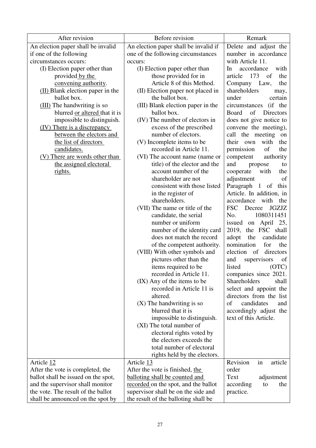| After revision                      | Before revision                       | Remark                                  |
|-------------------------------------|---------------------------------------|-----------------------------------------|
| An election paper shall be invalid  | An election paper shall be invalid if | Delete and adjust the                   |
| if one of the following             | one of the following circumstances    | number in accordance                    |
| circumstances occurs:               | occurs:                               | with Article 11.                        |
| (I) Election paper other than       | (I) Election paper other than         | accordance<br>with<br>In                |
| provided by the                     | those provided for in                 | 173<br>of<br>article<br>the             |
| convening authority.                | Article 8 of this Method.             | Company Law,<br>the                     |
| (II) Blank election paper in the    | (II) Election paper not placed in     | shareholders<br>may,                    |
| ballot box.                         | the ballot box.                       | under<br>certain                        |
| (III) The handwriting is so         | (III) Blank election paper in the     | circumstances (if the                   |
| blurred or altered that it is       | ballot box.                           | of<br><b>Board</b><br>Directors         |
| impossible to distinguish.          | (IV) The number of electors in        | does not give notice to                 |
| (IV) There is a discrepancy         | excess of the prescribed              | convene the meeting),                   |
| between the electors and            | number of electors.                   | call the meeting<br>on                  |
| the list of directors               | (V) Incomplete items to be            | with<br>their<br>own<br>the             |
| candidates.                         | recorded in Article 11.               | permission<br>of<br>the                 |
| (V) There are words other than      | (VI) The account name (name or        | competent<br>authority                  |
| the assigned electoral              | title) of the elector and the         | and<br>propose<br>to                    |
| <u>rights.</u>                      | account number of the                 | cooperate<br>with<br>the                |
|                                     | shareholder are not                   | adjustment<br>of                        |
|                                     | consistent with those listed          | Paragraph<br>$\mathbf{1}$<br>of<br>this |
|                                     | in the register of                    | Article. In addition, in                |
|                                     | shareholders.                         | accordance<br>with the                  |
|                                     | (VII) The name or title of the        | FSC<br>Decree<br><b>JGZJZ</b>           |
|                                     | candidate, the serial                 | 1080311451<br>No.                       |
|                                     | number or uniform                     | April 25,<br>issued<br>on               |
|                                     | number of the identity card           | the FSC shall<br>2019,                  |
|                                     | does not match the record             | adopt<br>candidate<br>the               |
|                                     | of the competent authority.           | nomination<br>for<br>the                |
|                                     | (VIII) With other symbols and         | directors<br>election of                |
|                                     | pictures other than the               | supervisors<br>and<br>of                |
|                                     | items required to be                  | listed<br>(OTC)                         |
|                                     | recorded in Article 11.               | companies since 2021.                   |
|                                     | (IX) Any of the items to be           | <b>Shareholders</b><br>shall            |
|                                     | recorded in Article 11 is             | select and appoint the                  |
|                                     | altered.                              | directors from the list                 |
|                                     | $(X)$ The handwriting is so           | of<br>candidates<br>and                 |
|                                     | blurred that it is                    | accordingly adjust the                  |
|                                     | impossible to distinguish.            | text of this Article.                   |
|                                     | (XI) The total number of              |                                         |
|                                     | electoral rights voted by             |                                         |
|                                     | the electors exceeds the              |                                         |
|                                     | total number of electoral             |                                         |
|                                     | rights held by the electors.          |                                         |
| Article 12                          | Article 13                            | Revision<br>in<br>article               |
| After the vote is completed, the    | After the vote is finished, the       | order                                   |
| ballot shall be issued on the spot, | balloting shall be counted and        | Text<br>adjustment                      |
| and the supervisor shall monitor    | recorded on the spot, and the ballot  | according<br>the<br>to                  |
| the vote. The result of the ballot  | supervisor shall be on the side and   | practice.                               |
| shall be announced on the spot by   | the result of the balloting shall be  |                                         |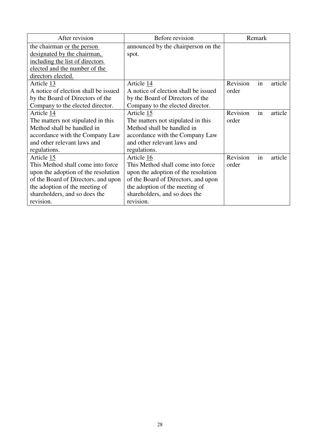| After revision                       | Before revision                      | Remark   |    |         |
|--------------------------------------|--------------------------------------|----------|----|---------|
| the chairman or the person           | announced by the chairperson on the  |          |    |         |
| designated by the chairman,          | spot.                                |          |    |         |
| including the list of directors      |                                      |          |    |         |
| elected and the number of the        |                                      |          |    |         |
| directors elected.                   |                                      |          |    |         |
| Article 13                           | Article 14                           | Revision | in | article |
| A notice of election shall be issued | A notice of election shall be issued | order    |    |         |
| by the Board of Directors of the     | by the Board of Directors of the     |          |    |         |
| Company to the elected director.     | Company to the elected director.     |          |    |         |
| Article 14                           | Article 15                           | Revision | in | article |
| The matters not stipulated in this   | The matters not stipulated in this   | order    |    |         |
| Method shall be handled in           | Method shall be handled in           |          |    |         |
| accordance with the Company Law      | accordance with the Company Law      |          |    |         |
| and other relevant laws and          | and other relevant laws and          |          |    |         |
| regulations.                         | regulations.                         |          |    |         |
| Article 15                           | Article 16                           | Revision | in | article |
| This Method shall come into force    | This Method shall come into force    | order    |    |         |
| upon the adoption of the resolution  | upon the adoption of the resolution  |          |    |         |
| of the Board of Directors, and upon  | of the Board of Directors, and upon  |          |    |         |
| the adoption of the meeting of       | the adoption of the meeting of       |          |    |         |
| shareholders, and so does the        | shareholders, and so does the        |          |    |         |
| revision.                            | revision.                            |          |    |         |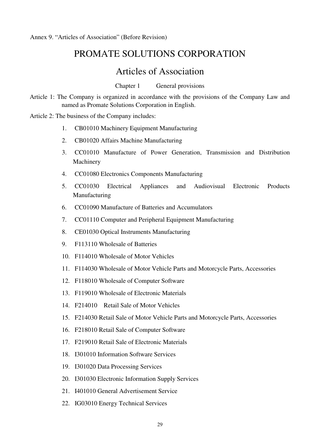# PROMATE SOLUTIONS CORPORATION

# Articles of Association

Chapter 1 General provisions

Article 1: The Company is organized in accordance with the provisions of the Company Law and named as Promate Solutions Corporation in English.

Article 2: The business of the Company includes:

- 1. CB01010 Machinery Equipment Manufacturing
- 2. CB01020 Affairs Machine Manufacturing
- 3. CC01010 Manufacture of Power Generation, Transmission and Distribution Machinery
- 4. CC01080 Electronics Components Manufacturing
- 5. CC01030 Electrical Appliances and Audiovisual Electronic Products Manufacturing
- 6. CC01090 Manufacture of Batteries and Accumulators
- 7. CC01110 Computer and Peripheral Equipment Manufacturing
- 8. CE01030 Optical Instruments Manufacturing
- 9. F113110 Wholesale of Batteries
- 10. F114010 Wholesale of Motor Vehicles
- 11. F114030 Wholesale of Motor Vehicle Parts and Motorcycle Parts, Accessories
- 12. F118010 Wholesale of Computer Software
- 13. F119010 Wholesale of Electronic Materials
- 14. F214010 Retail Sale of Motor Vehicles
- 15. F214030 Retail Sale of Motor Vehicle Parts and Motorcycle Parts, Accessories
- 16. F218010 Retail Sale of Computer Software
- 17. F219010 Retail Sale of Electronic Materials
- 18. I301010 Information Software Services
- 19. I301020 Data Processing Services
- 20. I301030 Electronic Information Supply Services
- 21. I401010 General Advertisement Service
- 22. IG03010 Energy Technical Services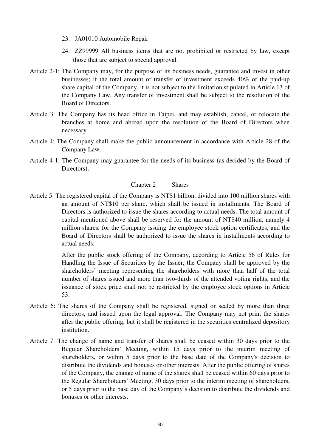- 23. JA01010 Automobile Repair
- 24. ZZ99999 All business items that are not prohibited or restricted by law, except those that are subject to special approval.
- Article 2-1: The Company may, for the purpose of its business needs, guarantee and invest in other businesses; if the total amount of transfer of investment exceeds 40% of the paid-up share capital of the Company, it is not subject to the limitation stipulated in Article 13 of the Company Law. Any transfer of investment shall be subject to the resolution of the Board of Directors.
- Article 3: The Company has its head office in Taipei, and may establish, cancel, or relocate the branches at home and abroad upon the resolution of the Board of Directors when necessary.
- Article 4: The Company shall make the public announcement in accordance with Article 28 of the Company Law.
- Article 4-1: The Company may guarantee for the needs of its business (as decided by the Board of Directors).

# Chapter 2 Shares

Article 5: The registered capital of the Company is NT\$1 billion, divided into 100 million shares with an amount of NT\$10 per share, which shall be issued in installments. The Board of Directors is authorized to issue the shares according to actual needs. The total amount of capital mentioned above shall be reserved for the amount of NT\$40 million, namely 4 million shares, for the Company issuing the employee stock option certificates, and the Board of Directors shall be authorized to issue the shares in installments according to actual needs.

> After the public stock offering of the Company, according to Article 56 of Rules for Handling the Issue of Securities by the Issuer, the Company shall be approved by the shareholders' meeting representing the shareholders with more than half of the total number of shares issued and more than two-thirds of the attended voting rights, and the issuance of stock price shall not be restricted by the employee stock options in Article 53.

- Article 6: The shares of the Company shall be registered, signed or sealed by more than three directors, and issued upon the legal approval. The Company may not print the shares after the public offering, but it shall be registered in the securities centralized depository institution.
- Article 7: The change of name and transfer of shares shall be ceased within 30 days prior to the Regular Shareholders' Meeting, within 15 days prior to the interim meeting of shareholders, or within 5 days prior to the base date of the Company's decision to distribute the dividends and bonuses or other interests. After the public offering of shares of the Company, the change of name of the shares shall be ceased within 60 days prior to the Regular Shareholders' Meeting, 30 days prior to the interim meeting of shareholders, or 5 days prior to the base day of the Company's decision to distribute the dividends and bonuses or other interests.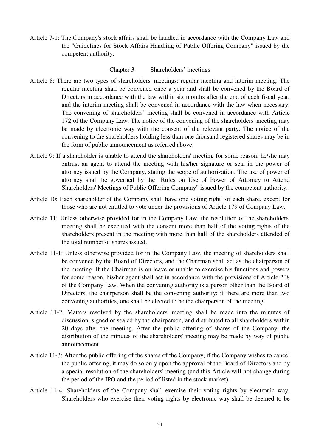Article 7-1: The Company's stock affairs shall be handled in accordance with the Company Law and the "Guidelines for Stock Affairs Handling of Public Offering Company" issued by the competent authority.

### Chapter 3 Shareholders' meetings

- Article 8: There are two types of shareholders' meetings: regular meeting and interim meeting. The regular meeting shall be convened once a year and shall be convened by the Board of Directors in accordance with the law within six months after the end of each fiscal year, and the interim meeting shall be convened in accordance with the law when necessary. The convening of shareholders' meeting shall be convened in accordance with Article 172 of the Company Law. The notice of the convening of the shareholders' meeting may be made by electronic way with the consent of the relevant party. The notice of the convening to the shareholders holding less than one thousand registered shares may be in the form of public announcement as referred above.
- Article 9: If a shareholder is unable to attend the shareholders' meeting for some reason, he/she may entrust an agent to attend the meeting with his/her signature or seal in the power of attorney issued by the Company, stating the scope of authorization. The use of power of attorney shall be governed by the "Rules on Use of Power of Attorney to Attend Shareholders' Meetings of Public Offering Company" issued by the competent authority.
- Article 10: Each shareholder of the Company shall have one voting right for each share, except for those who are not entitled to vote under the provisions of Article 179 of Company Law.
- Article 11: Unless otherwise provided for in the Company Law, the resolution of the shareholders' meeting shall be executed with the consent more than half of the voting rights of the shareholders present in the meeting with more than half of the shareholders attended of the total number of shares issued.
- Article 11-1: Unless otherwise provided for in the Company Law, the meeting of shareholders shall be convened by the Board of Directors, and the Chairman shall act as the chairperson of the meeting. If the Chairman is on leave or unable to exercise his functions and powers for some reason, his/her agent shall act in accordance with the provisions of Article 208 of the Company Law. When the convening authority is a person other than the Board of Directors, the chairperson shall be the convening authority; if there are more than two convening authorities, one shall be elected to be the chairperson of the meeting.
- Article 11-2: Matters resolved by the shareholders' meeting shall be made into the minutes of discussion, signed or sealed by the chairperson, and distributed to all shareholders within 20 days after the meeting. After the public offering of shares of the Company, the distribution of the minutes of the shareholders' meeting may be made by way of public announcement.
- Article 11-3: After the public offering of the shares of the Company, if the Company wishes to cancel the public offering, it may do so only upon the approval of the Board of Directors and by a special resolution of the shareholders' meeting (and this Article will not change during the period of the IPO and the period of listed in the stock market).
- Article 11-4: Shareholders of the Company shall exercise their voting rights by electronic way. Shareholders who exercise their voting rights by electronic way shall be deemed to be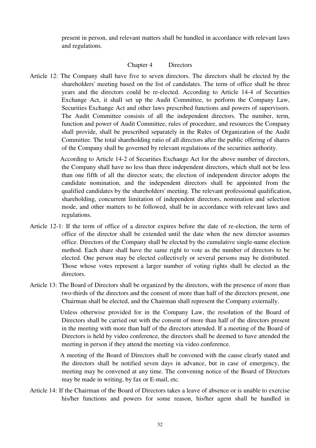present in person, and relevant matters shall be handled in accordance with relevant laws and regulations.

# Chapter 4 Directors

Article 12: The Company shall have five to seven directors. The directors shall be elected by the shareholders' meeting based on the list of candidates. The term of office shall be three years and the directors could be re-elected. According to Article 14-4 of Securities Exchange Act, it shall set up the Audit Committee, to perform the Company Law, Securities Exchange Act and other laws prescribed functions and powers of supervisors. The Audit Committee consists of all the independent directors. The number, term, function and power of Audit Committee, rules of procedure, and resources the Company shall provide, shall be prescribed separately in the Rules of Organization of the Audit Committee. The total shareholding ratio of all directors after the public offering of shares of the Company shall be governed by relevant regulations of the securities authority.

> According to Article 14-2 of Securities Exchange Act for the above number of directors, the Company shall have no less than three independent directors, which shall not be less than one fifth of all the director seats; the election of independent director adopts the candidate nomination, and the independent directors shall be appointed from the qualified candidates by the shareholders' meeting. The relevant professional qualification, shareholding, concurrent limitation of independent directors, nomination and selection mode, and other matters to be followed, shall be in accordance with relevant laws and regulations.

- Article 12-1: If the term of office of a director expires before the date of re-election, the term of office of the director shall be extended until the date when the new director assumes office. Directors of the Company shall be elected by the cumulative single-name election method. Each share shall have the same right to vote as the number of directors to be elected. One person may be elected collectively or several persons may be distributed. Those whose votes represent a larger number of voting rights shall be elected as the directors.
- Article 13: The Board of Directors shall be organized by the directors, with the presence of more than two-thirds of the directors and the consent of more than half of the directors present, one Chairman shall be elected, and the Chairman shall represent the Company externally.

Unless otherwise provided for in the Company Law, the resolution of the Board of Directors shall be carried out with the consent of more than half of the directors present in the meeting with more than half of the directors attended. If a meeting of the Board of Directors is held by video conference, the directors shall be deemed to have attended the meeting in person if they attend the meeting via video conference.

A meeting of the Board of Directors shall be convened with the cause clearly stated and the directors shall be notified seven days in advance, but in case of emergency, the meeting may be convened at any time. The convening notice of the Board of Directors may be made in writing, by fax or E-mail, etc.

Article 14: If the Chairman of the Board of Directors takes a leave of absence or is unable to exercise his/her functions and powers for some reason, his/her agent shall be handled in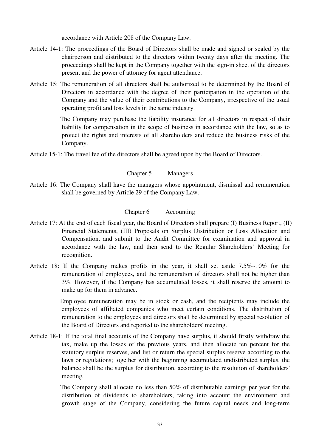accordance with Article 208 of the Company Law.

- Article 14-1: The proceedings of the Board of Directors shall be made and signed or sealed by the chairperson and distributed to the directors within twenty days after the meeting. The proceedings shall be kept in the Company together with the sign-in sheet of the directors present and the power of attorney for agent attendance.
- Article 15: The remuneration of all directors shall be authorized to be determined by the Board of Directors in accordance with the degree of their participation in the operation of the Company and the value of their contributions to the Company, irrespective of the usual operating profit and loss levels in the same industry.

The Company may purchase the liability insurance for all directors in respect of their liability for compensation in the scope of business in accordance with the law, so as to protect the rights and interests of all shareholders and reduce the business risks of the Company.

Article 15-1: The travel fee of the directors shall be agreed upon by the Board of Directors.

# Chapter 5 Managers

Article 16: The Company shall have the managers whose appointment, dismissal and remuneration shall be governed by Article 29 of the Company Law.

### Chapter 6 Accounting

- Article 17: At the end of each fiscal year, the Board of Directors shall prepare (I) Business Report, (II) Financial Statements, (III) Proposals on Surplus Distribution or Loss Allocation and Compensation, and submit to the Audit Committee for examination and approval in accordance with the law, and then send to the Regular Shareholders' Meeting for recognition.
- Article 18: If the Company makes profits in the year, it shall set aside 7.5%~10% for the remuneration of employees, and the remuneration of directors shall not be higher than 3%. However, if the Company has accumulated losses, it shall reserve the amount to make up for them in advance.

Employee remuneration may be in stock or cash, and the recipients may include the employees of affiliated companies who meet certain conditions. The distribution of remuneration to the employees and directors shall be determined by special resolution of the Board of Directors and reported to the shareholders' meeting.

Article 18-1: If the total final accounts of the Company have surplus, it should firstly withdraw the tax, make up the losses of the previous years, and then allocate ten percent for the statutory surplus reserves, and list or return the special surplus reserve according to the laws or regulations; together with the beginning accumulated undistributed surplus, the balance shall be the surplus for distribution, according to the resolution of shareholders' meeting.

> The Company shall allocate no less than 50% of distributable earnings per year for the distribution of dividends to shareholders, taking into account the environment and growth stage of the Company, considering the future capital needs and long-term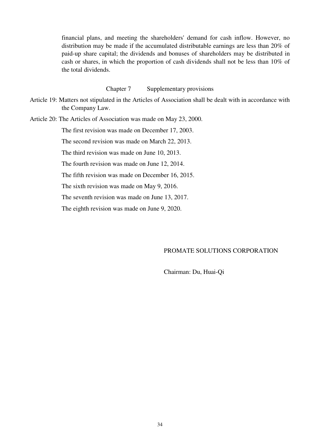financial plans, and meeting the shareholders' demand for cash inflow. However, no distribution may be made if the accumulated distributable earnings are less than 20% of paid-up share capital; the dividends and bonuses of shareholders may be distributed in cash or shares, in which the proportion of cash dividends shall not be less than 10% of the total dividends.

### Chapter 7 Supplementary provisions

Article 19: Matters not stipulated in the Articles of Association shall be dealt with in accordance with the Company Law.

Article 20: The Articles of Association was made on May 23, 2000.

The first revision was made on December 17, 2003.

The second revision was made on March 22, 2013.

The third revision was made on June 10, 2013.

The fourth revision was made on June 12, 2014.

The fifth revision was made on December 16, 2015.

The sixth revision was made on May 9, 2016.

The seventh revision was made on June 13, 2017.

The eighth revision was made on June 9, 2020.

# PROMATE SOLUTIONS CORPORATION

Chairman: Du, Huai-Qi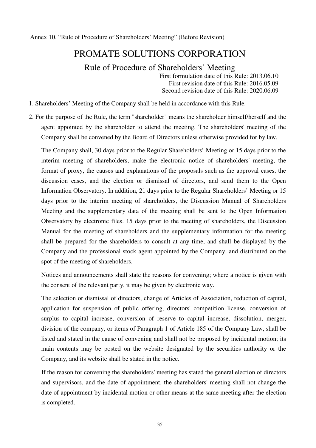Annex 10. "Rule of Procedure of Shareholders' Meeting" (Before Revision)

# PROMATE SOLUTIONS CORPORATION

Rule of Procedure of Shareholders' Meeting

First formulation date of this Rule: 2013.06.10 First revision date of this Rule: 2016.05.09 Second revision date of this Rule: 2020.06.09

- 1. Shareholders' Meeting of the Company shall be held in accordance with this Rule.
- 2. For the purpose of the Rule, the term "shareholder" means the shareholder himself/herself and the agent appointed by the shareholder to attend the meeting. The shareholders' meeting of the Company shall be convened by the Board of Directors unless otherwise provided for by law.

The Company shall, 30 days prior to the Regular Shareholders' Meeting or 15 days prior to the interim meeting of shareholders, make the electronic notice of shareholders' meeting, the format of proxy, the causes and explanations of the proposals such as the approval cases, the discussion cases, and the election or dismissal of directors, and send them to the Open Information Observatory. In addition, 21 days prior to the Regular Shareholders' Meeting or 15 days prior to the interim meeting of shareholders, the Discussion Manual of Shareholders Meeting and the supplementary data of the meeting shall be sent to the Open Information Observatory by electronic files. 15 days prior to the meeting of shareholders, the Discussion Manual for the meeting of shareholders and the supplementary information for the meeting shall be prepared for the shareholders to consult at any time, and shall be displayed by the Company and the professional stock agent appointed by the Company, and distributed on the spot of the meeting of shareholders.

Notices and announcements shall state the reasons for convening; where a notice is given with the consent of the relevant party, it may be given by electronic way.

The selection or dismissal of directors, change of Articles of Association, reduction of capital, application for suspension of public offering, directors' competition license, conversion of surplus to capital increase, conversion of reserve to capital increase, dissolution, merger, division of the company, or items of Paragraph 1 of Article 185 of the Company Law, shall be listed and stated in the cause of convening and shall not be proposed by incidental motion; its main contents may be posted on the website designated by the securities authority or the Company, and its website shall be stated in the notice.

If the reason for convening the shareholders' meeting has stated the general election of directors and supervisors, and the date of appointment, the shareholders' meeting shall not change the date of appointment by incidental motion or other means at the same meeting after the election is completed.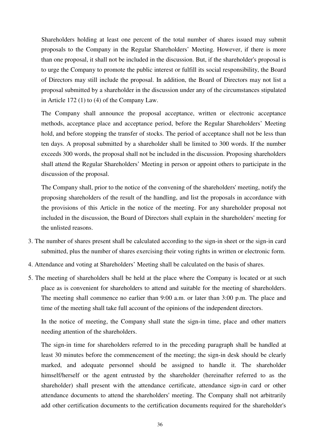Shareholders holding at least one percent of the total number of shares issued may submit proposals to the Company in the Regular Shareholders' Meeting. However, if there is more than one proposal, it shall not be included in the discussion. But, if the shareholder's proposal is to urge the Company to promote the public interest or fulfill its social responsibility, the Board of Directors may still include the proposal. In addition, the Board of Directors may not list a proposal submitted by a shareholder in the discussion under any of the circumstances stipulated in Article 172 (1) to (4) of the Company Law.

The Company shall announce the proposal acceptance, written or electronic acceptance methods, acceptance place and acceptance period, before the Regular Shareholders' Meeting hold, and before stopping the transfer of stocks. The period of acceptance shall not be less than ten days. A proposal submitted by a shareholder shall be limited to 300 words. If the number exceeds 300 words, the proposal shall not be included in the discussion. Proposing shareholders shall attend the Regular Shareholders' Meeting in person or appoint others to participate in the discussion of the proposal.

The Company shall, prior to the notice of the convening of the shareholders' meeting, notify the proposing shareholders of the result of the handling, and list the proposals in accordance with the provisions of this Article in the notice of the meeting. For any shareholder proposal not included in the discussion, the Board of Directors shall explain in the shareholders' meeting for the unlisted reasons.

- 3. The number of shares present shall be calculated according to the sign-in sheet or the sign-in card submitted, plus the number of shares exercising their voting rights in written or electronic form.
- 4. Attendance and voting at Shareholders' Meeting shall be calculated on the basis of shares.
- 5. The meeting of shareholders shall be held at the place where the Company is located or at such place as is convenient for shareholders to attend and suitable for the meeting of shareholders. The meeting shall commence no earlier than 9:00 a.m. or later than 3:00 p.m. The place and time of the meeting shall take full account of the opinions of the independent directors.

In the notice of meeting, the Company shall state the sign-in time, place and other matters needing attention of the shareholders.

The sign-in time for shareholders referred to in the preceding paragraph shall be handled at least 30 minutes before the commencement of the meeting; the sign-in desk should be clearly marked, and adequate personnel should be assigned to handle it. The shareholder himself/herself or the agent entrusted by the shareholder (hereinafter referred to as the shareholder) shall present with the attendance certificate, attendance sign-in card or other attendance documents to attend the shareholders' meeting. The Company shall not arbitrarily add other certification documents to the certification documents required for the shareholder's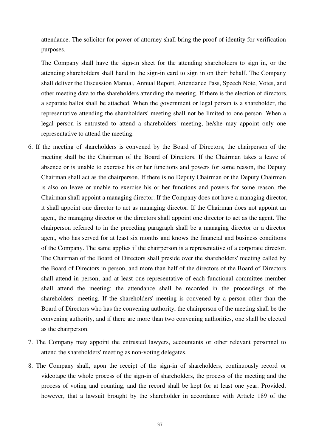attendance. The solicitor for power of attorney shall bring the proof of identity for verification purposes.

The Company shall have the sign-in sheet for the attending shareholders to sign in, or the attending shareholders shall hand in the sign-in card to sign in on their behalf. The Company shall deliver the Discussion Manual, Annual Report, Attendance Pass, Speech Note, Votes, and other meeting data to the shareholders attending the meeting. If there is the election of directors, a separate ballot shall be attached. When the government or legal person is a shareholder, the representative attending the shareholders' meeting shall not be limited to one person. When a legal person is entrusted to attend a shareholders' meeting, he/she may appoint only one representative to attend the meeting.

- 6. If the meeting of shareholders is convened by the Board of Directors, the chairperson of the meeting shall be the Chairman of the Board of Directors. If the Chairman takes a leave of absence or is unable to exercise his or her functions and powers for some reason, the Deputy Chairman shall act as the chairperson. If there is no Deputy Chairman or the Deputy Chairman is also on leave or unable to exercise his or her functions and powers for some reason, the Chairman shall appoint a managing director. If the Company does not have a managing director, it shall appoint one director to act as managing director. If the Chairman does not appoint an agent, the managing director or the directors shall appoint one director to act as the agent. The chairperson referred to in the preceding paragraph shall be a managing director or a director agent, who has served for at least six months and knows the financial and business conditions of the Company. The same applies if the chairperson is a representative of a corporate director. The Chairman of the Board of Directors shall preside over the shareholders' meeting called by the Board of Directors in person, and more than half of the directors of the Board of Directors shall attend in person, and at least one representative of each functional committee member shall attend the meeting; the attendance shall be recorded in the proceedings of the shareholders' meeting. If the shareholders' meeting is convened by a person other than the Board of Directors who has the convening authority, the chairperson of the meeting shall be the convening authority, and if there are more than two convening authorities, one shall be elected as the chairperson.
- 7. The Company may appoint the entrusted lawyers, accountants or other relevant personnel to attend the shareholders' meeting as non-voting delegates.
- 8. The Company shall, upon the receipt of the sign-in of shareholders, continuously record or videotape the whole process of the sign-in of shareholders, the process of the meeting and the process of voting and counting, and the record shall be kept for at least one year. Provided, however, that a lawsuit brought by the shareholder in accordance with Article 189 of the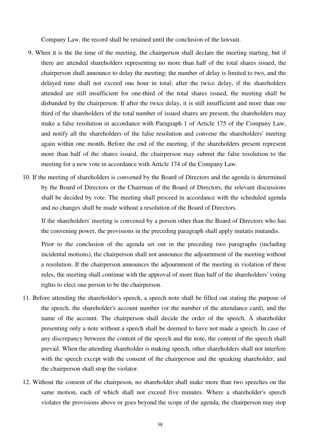Company Law, the record shall be retained until the conclusion of the lawsuit.

- 9. When it is the the time of the meeting, the chairperson shall declare the meeting starting, but if there are attended shareholders representing no more than half of the total shares issued, the chairperson shall announce to delay the meeting; the number of delay is limited to two, and the delayed time shall not exceed one hour in total; after the twice delay, if the shareholders attended are still insufficient for one-third of the total shares issued, the meeting shall be disbanded by the chairperson. If after the twice delay, it is still insufficient and more than one third of the shareholders of the total number of issued shares are present, the shareholders may make a false resolution in accordance with Paragraph 1 of Article 175 of the Company Law, and notify all the shareholders of the false resolution and convene the shareholders' meeting again within one month. Before the end of the meeting, if the shareholders present represent more than half of the shares issued, the chairperson may submit the false resolution to the meeting for a new vote in accordance with Article 174 of the Company Law.
- 10. If the meeting of shareholders is convened by the Board of Directors and the agenda is determined by the Board of Directors or the Chairman of the Board of Directors, the relevant discussions shall be decided by vote. The meeting shall proceed in accordance with the scheduled agenda and no changes shall be made without a resolution of the Board of Directors.

If the shareholders' meeting is convened by a person other than the Board of Directors who has the convening power, the provisions in the preceding paragraph shall apply mutatis mutandis.

Prior to the conclusion of the agenda set out in the preceding two paragraphs (including incidental motions), the chairperson shall not announce the adjournment of the meeting without a resolution. If the chairperson announces the adjournment of the meeting in violation of these rules, the meeting shall continue with the approval of more than half of the shareholders' voting rights to elect one person to be the chairperson.

- 11. Before attending the shareholder's speech, a speech note shall be filled out stating the purpose of the speech, the shareholder's account number (or the number of the attendance card), and the name of the account. The chairperson shall decide the order of the speech. A shareholder presenting only a note without a speech shall be deemed to have not made a speech. In case of any discrepancy between the content of the speech and the note, the content of the speech shall prevail. When the attending shareholder is making speech, other shareholders shall not interfere with the speech except with the consent of the chairperson and the speaking shareholder, and the chairperson shall stop the violator.
- 12. Without the consent of the chairpeson, no shareholder shall make more than two speeches on the same motion, each of which shall not exceed five minutes. Where a shareholder's speech violates the provisions above or goes beyond the scope of the agenda, the chairperson may stop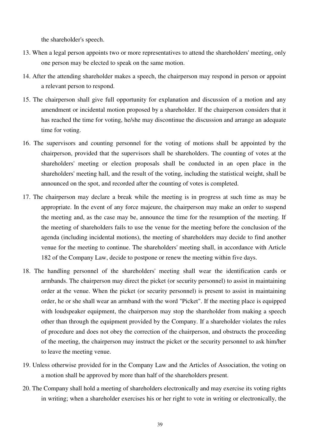the shareholder's speech.

- 13. When a legal person appoints two or more representatives to attend the shareholders' meeting, only one person may be elected to speak on the same motion.
- 14. After the attending shareholder makes a speech, the chairperson may respond in person or appoint a relevant person to respond.
- 15. The chairperson shall give full opportunity for explanation and discussion of a motion and any amendment or incidental motion proposed by a shareholder. If the chairperson considers that it has reached the time for voting, he/she may discontinue the discussion and arrange an adequate time for voting.
- 16. The supervisors and counting personnel for the voting of motions shall be appointed by the chairperson, provided that the supervisors shall be shareholders. The counting of votes at the shareholders' meeting or election proposals shall be conducted in an open place in the shareholders' meeting hall, and the result of the voting, including the statistical weight, shall be announced on the spot, and recorded after the counting of votes is completed.
- 17. The chairperson may declare a break while the meeting is in progress at such time as may be appropriate. In the event of any force majeure, the chairperson may make an order to suspend the meeting and, as the case may be, announce the time for the resumption of the meeting. If the meeting of shareholders fails to use the venue for the meeting before the conclusion of the agenda (including incidental motions), the meeting of shareholders may decide to find another venue for the meeting to continue. The shareholders' meeting shall, in accordance with Article 182 of the Company Law, decide to postpone or renew the meeting within five days.
- 18. The handling personnel of the shareholders' meeting shall wear the identification cards or armbands. The chairperson may direct the picket (or security personnel) to assist in maintaining order at the venue. When the picket (or security personnel) is present to assist in maintaining order, he or she shall wear an armband with the word "Picket". If the meeting place is equipped with loudspeaker equipment, the chairperson may stop the shareholder from making a speech other than through the equipment provided by the Company. If a shareholder violates the rules of procedure and does not obey the correction of the chairperson, and obstructs the proceeding of the meeting, the chairperson may instruct the picket or the security personnel to ask him/her to leave the meeting venue.
- 19. Unless otherwise provided for in the Company Law and the Articles of Association, the voting on a motion shall be approved by more than half of the shareholders present.
- 20. The Company shall hold a meeting of shareholders electronically and may exercise its voting rights in writing; when a shareholder exercises his or her right to vote in writing or electronically, the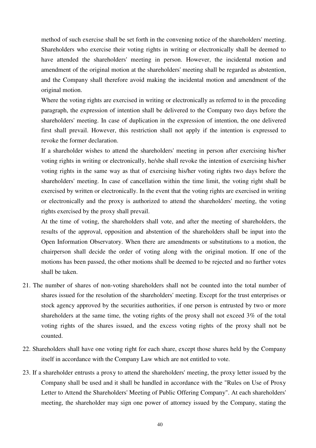method of such exercise shall be set forth in the convening notice of the shareholders' meeting. Shareholders who exercise their voting rights in writing or electronically shall be deemed to have attended the shareholders' meeting in person. However, the incidental motion and amendment of the original motion at the shareholders' meeting shall be regarded as abstention, and the Company shall therefore avoid making the incidental motion and amendment of the original motion.

Where the voting rights are exercised in writing or electronically as referred to in the preceding paragraph, the expression of intention shall be delivered to the Company two days before the shareholders' meeting. In case of duplication in the expression of intention, the one delivered first shall prevail. However, this restriction shall not apply if the intention is expressed to revoke the former declaration.

If a shareholder wishes to attend the shareholders' meeting in person after exercising his/her voting rights in writing or electronically, he/she shall revoke the intention of exercising his/her voting rights in the same way as that of exercising his/her voting rights two days before the shareholders' meeting. In case of cancellation within the time limit, the voting right shall be exercised by written or electronically. In the event that the voting rights are exercised in writing or electronically and the proxy is authorized to attend the shareholders' meeting, the voting rights exercised by the proxy shall prevail.

At the time of voting, the shareholders shall vote, and after the meeting of shareholders, the results of the approval, opposition and abstention of the shareholders shall be input into the Open Information Observatory. When there are amendments or substitutions to a motion, the chairperson shall decide the order of voting along with the original motion. If one of the motions has been passed, the other motions shall be deemed to be rejected and no further votes shall be taken.

- 21. The number of shares of non-voting shareholders shall not be counted into the total number of shares issued for the resolution of the shareholders' meeting. Except for the trust enterprises or stock agency approved by the securities authorities, if one person is entrusted by two or more shareholders at the same time, the voting rights of the proxy shall not exceed 3% of the total voting rights of the shares issued, and the excess voting rights of the proxy shall not be counted.
- 22. Shareholders shall have one voting right for each share, except those shares held by the Company itself in accordance with the Company Law which are not entitled to vote.
- 23. If a shareholder entrusts a proxy to attend the shareholders' meeting, the proxy letter issued by the Company shall be used and it shall be handled in accordance with the "Rules on Use of Proxy Letter to Attend the Shareholders' Meeting of Public Offering Company". At each shareholders' meeting, the shareholder may sign one power of attorney issued by the Company, stating the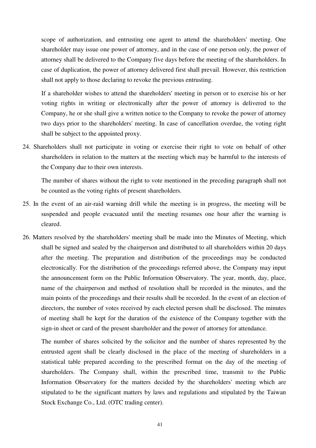scope of authorization, and entrusting one agent to attend the shareholders' meeting. One shareholder may issue one power of attorney, and in the case of one person only, the power of attorney shall be delivered to the Company five days before the meeting of the shareholders. In case of duplication, the power of attorney delivered first shall prevail. However, this restriction shall not apply to those declaring to revoke the previous entrusting.

If a shareholder wishes to attend the shareholders' meeting in person or to exercise his or her voting rights in writing or electronically after the power of attorney is delivered to the Company, he or she shall give a written notice to the Company to revoke the power of attorney two days prior to the shareholders' meeting. In case of cancellation overdue, the voting right shall be subject to the appointed proxy.

24. Shareholders shall not participate in voting or exercise their right to vote on behalf of other shareholders in relation to the matters at the meeting which may be harmful to the interests of the Company due to their own interests.

The number of shares without the right to vote mentioned in the preceding paragraph shall not be counted as the voting rights of present shareholders.

- 25. In the event of an air-raid warning drill while the meeting is in progress, the meeting will be suspended and people evacuated until the meeting resumes one hour after the warning is cleared.
- 26. Matters resolved by the shareholders' meeting shall be made into the Minutes of Meeting, which shall be signed and sealed by the chairperson and distributed to all shareholders within 20 days after the meeting. The preparation and distribution of the proceedings may be conducted electronically. For the distribution of the proceedings referred above, the Company may input the announcement form on the Public Information Observatory. The year, month, day, place, name of the chairperson and method of resolution shall be recorded in the minutes, and the main points of the proceedings and their results shall be recorded. In the event of an election of directors, the number of votes received by each elected person shall be disclosed. The minutes of meeting shall be kept for the duration of the existence of the Company together with the sign-in sheet or card of the present shareholder and the power of attorney for attendance.

The number of shares solicited by the solicitor and the number of shares represented by the entrusted agent shall be clearly disclosed in the place of the meeting of shareholders in a statistical table prepared according to the prescribed format on the day of the meeting of shareholders. The Company shall, within the prescribed time, transmit to the Public Information Observatory for the matters decided by the shareholders' meeting which are stipulated to be the significant matters by laws and regulations and stipulated by the Taiwan Stock Exchange Co., Ltd. (OTC trading center).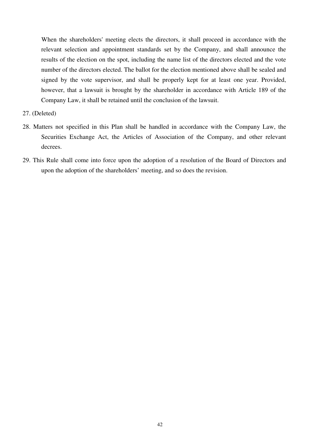When the shareholders' meeting elects the directors, it shall proceed in accordance with the relevant selection and appointment standards set by the Company, and shall announce the results of the election on the spot, including the name list of the directors elected and the vote number of the directors elected. The ballot for the election mentioned above shall be sealed and signed by the vote supervisor, and shall be properly kept for at least one year. Provided, however, that a lawsuit is brought by the shareholder in accordance with Article 189 of the Company Law, it shall be retained until the conclusion of the lawsuit.

- 27. (Deleted)
- 28. Matters not specified in this Plan shall be handled in accordance with the Company Law, the Securities Exchange Act, the Articles of Association of the Company, and other relevant decrees.
- 29. This Rule shall come into force upon the adoption of a resolution of the Board of Directors and upon the adoption of the shareholders' meeting, and so does the revision.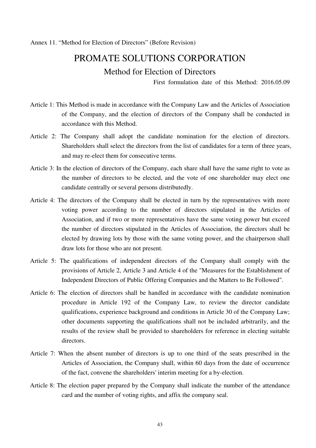Annex 11. "Method for Election of Directors" (Before Revision)

# PROMATE SOLUTIONS CORPORATION

# Method for Election of Directors

First formulation date of this Method: 2016.05.09

- Article 1: This Method is made in accordance with the Company Law and the Articles of Association of the Company, and the election of directors of the Company shall be conducted in accordance with this Method.
- Article 2: The Company shall adopt the candidate nomination for the election of directors. Shareholders shall select the directors from the list of candidates for a term of three years, and may re-elect them for consecutive terms.
- Article 3: In the election of directors of the Company, each share shall have the same right to vote as the number of directors to be elected, and the vote of one shareholder may elect one candidate centrally or several persons distributedly.
- Article 4: The directors of the Company shall be elected in turn by the representatives with more voting power according to the number of directors stipulated in the Articles of Association, and if two or more representatives have the same voting power but exceed the number of directors stipulated in the Articles of Association, the directors shall be elected by drawing lots by those with the same voting power, and the chairperson shall draw lots for those who are not present.
- Article 5: The qualifications of independent directors of the Company shall comply with the provisions of Article 2, Article 3 and Article 4 of the "Measures for the Establishment of Independent Directors of Public Offering Companies and the Matters to Be Followed".
- Article 6: The election of directors shall be handled in accordance with the candidate nomination procedure in Article 192 of the Company Law, to review the director candidate qualifications, experience background and conditions in Article 30 of the Company Law; other documents supporting the qualifications shall not be included arbitrarily, and the results of the review shall be provided to shareholders for reference in electing suitable directors.
- Article 7: When the absent number of directors is up to one third of the seats prescribed in the Articles of Association, the Company shall, within 60 days from the date of occurrence of the fact, convene the shareholders' interim meeting for a by-election.
- Article 8: The election paper prepared by the Company shall indicate the number of the attendance card and the number of voting rights, and affix the company seal.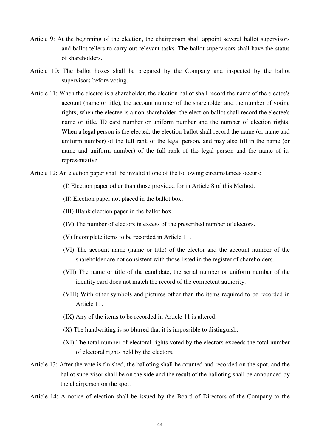- Article 9: At the beginning of the election, the chairperson shall appoint several ballot supervisors and ballot tellers to carry out relevant tasks. The ballot supervisors shall have the status of shareholders.
- Article 10: The ballot boxes shall be prepared by the Company and inspected by the ballot supervisors before voting.
- Article 11: When the electee is a shareholder, the election ballot shall record the name of the electee's account (name or title), the account number of the shareholder and the number of voting rights; when the electee is a non-shareholder, the election ballot shall record the electee's name or title, ID card number or uniform number and the number of election rights. When a legal person is the elected, the election ballot shall record the name (or name and uniform number) of the full rank of the legal person, and may also fill in the name (or name and uniform number) of the full rank of the legal person and the name of its representative.

Article 12: An election paper shall be invalid if one of the following circumstances occurs:

- (I) Election paper other than those provided for in Article 8 of this Method.
- (II) Election paper not placed in the ballot box.
- (III) Blank election paper in the ballot box.
- (IV) The number of electors in excess of the prescribed number of electors.
- (V) Incomplete items to be recorded in Article 11.
- (VI) The account name (name or title) of the elector and the account number of the shareholder are not consistent with those listed in the register of shareholders.
- (VII) The name or title of the candidate, the serial number or uniform number of the identity card does not match the record of the competent authority.
- (VIII) With other symbols and pictures other than the items required to be recorded in Article 11.
- (IX) Any of the items to be recorded in Article 11 is altered.
- (X) The handwriting is so blurred that it is impossible to distinguish.
- (XI) The total number of electoral rights voted by the electors exceeds the total number of electoral rights held by the electors.
- Article 13: After the vote is finished, the balloting shall be counted and recorded on the spot, and the ballot supervisor shall be on the side and the result of the balloting shall be announced by the chairperson on the spot.

Article 14: A notice of election shall be issued by the Board of Directors of the Company to the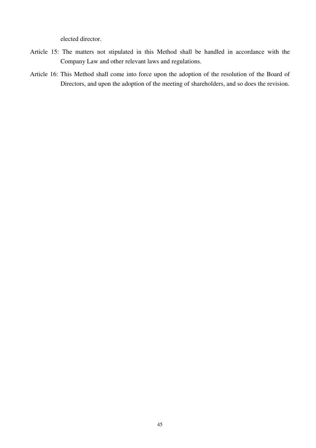elected director.

- Article 15: The matters not stipulated in this Method shall be handled in accordance with the Company Law and other relevant laws and regulations.
- Article 16: This Method shall come into force upon the adoption of the resolution of the Board of Directors, and upon the adoption of the meeting of shareholders, and so does the revision.